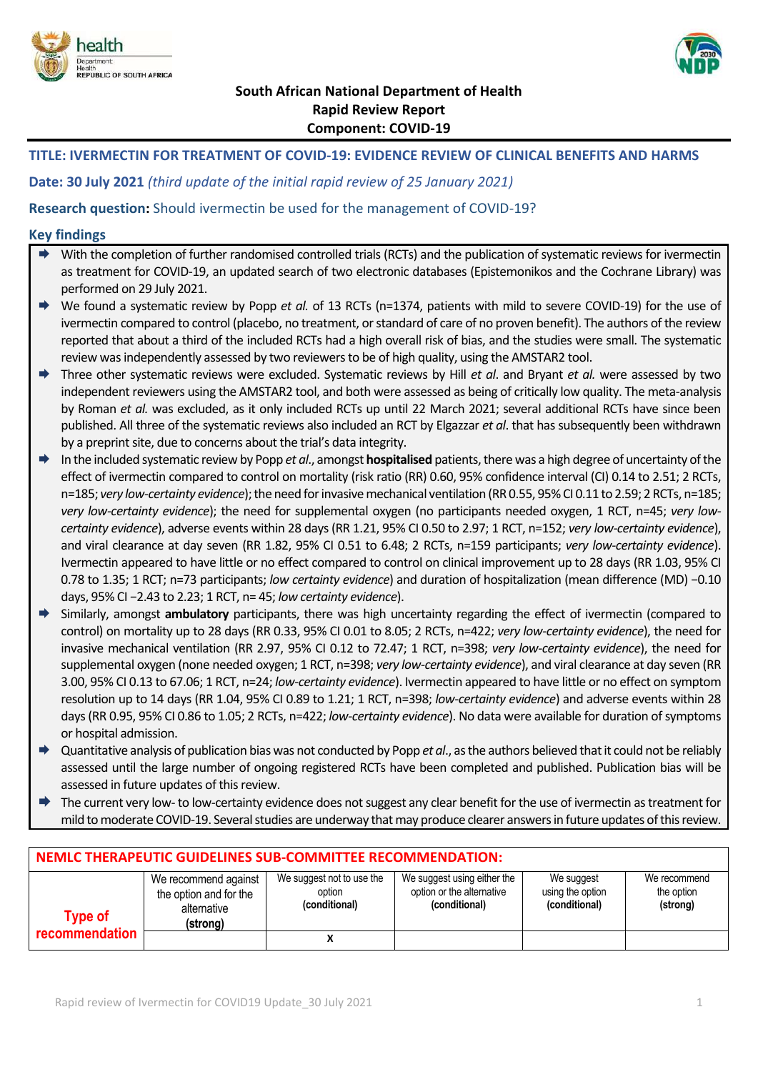



# **South African National Department of Health Rapid Review Report Component: COVID-19**

# **TITLE: IVERMECTIN FOR TREATMENT OF COVID-19: EVIDENCE REVIEW OF CLINICAL BENEFITS AND HARMS**

**Date: 30 July 2021** *(third update of the initial rapid review of 25 January 2021)*

**Research question:** Should ivermectin be used for the management of COVID-19?

### **Key findings**

- $\rightarrow$  With the completion of further randomised controlled trials (RCTs) and the publication of systematic reviews for ivermectin as treatment for COVID-19, an updated search of two electronic databases (Epistemonikos and the Cochrane Library) was performed on 29 July 2021.
- We found a systematic review by Popp *et al.* of 13 RCTs (n=1374, patients with mild to severe COVID-19) for the use of ivermectin compared to control (placebo, no treatment, or standard of care of no proven benefit). The authors of the review reported that about a third of the included RCTs had a high overall risk of bias, and the studies were small. The systematic review was independently assessed by two reviewersto be of high quality, using the AMSTAR2 tool.
- Three other systematic reviews were excluded. Systematic reviews by Hill *et al*. and Bryant *et al.* were assessed by two independent reviewers using the AMSTAR2 tool, and both were assessed as being of critically low quality. The meta-analysis by Roman *et al.* was excluded, as it only included RCTs up until 22 March 2021; several additional RCTs have since been published. All three of the systematic reviews also included an RCT by Elgazzar *et al*. that has subsequently been withdrawn by a preprint site, due to concerns about the trial's data integrity.
- In the included systematic review by Popp *et al*., amongst **hospitalised** patients, there was a high degree of uncertainty ofthe effect of ivermectin compared to control on mortality (risk ratio (RR) 0.60, 95% confidence interval (CI) 0.14 to 2.51; 2 RCTs, n=185; *very low-certainty evidence*); the need for invasive mechanical ventilation (RR 0.55, 95% CI 0.11 to 2.59; 2 RCTs, n=185; *very low-certainty evidence*); the need for supplemental oxygen (no participants needed oxygen, 1 RCT, n=45; *very lowcertainty evidence*), adverse events within 28 days (RR 1.21, 95% CI 0.50 to 2.97; 1 RCT, n=152; *very low-certainty evidence*), and viral clearance at day seven (RR 1.82, 95% CI 0.51 to 6.48; 2 RCTs, n=159 participants; *very low-certainty evidence*). Ivermectin appeared to have little or no effect compared to control on clinical improvement up to 28 days (RR 1.03, 95% CI 0.78 to 1.35; 1 RCT; n=73 participants; *low certainty evidence*) and duration of hospitalization (mean difference (MD) −0.10 days, 95% CI −2.43 to 2.23; 1 RCT, n= 45; *low certainty evidence*).
- Similarly, amongst **ambulatory** participants, there was high uncertainty regarding the effect of ivermectin (compared to control) on mortality up to 28 days (RR 0.33, 95% CI 0.01 to 8.05; 2 RCTs, n=422; *very low-certainty evidence*), the need for invasive mechanical ventilation (RR 2.97, 95% CI 0.12 to 72.47; 1 RCT, n=398; *very low-certainty evidence*), the need for supplemental oxygen (none needed oxygen; 1 RCT, n=398; *very low-certainty evidence*), and viral clearance at day seven (RR 3.00, 95% CI 0.13 to 67.06; 1 RCT, n=24; *low-certainty evidence*). Ivermectin appeared to have little or no effect on symptom resolution up to 14 days (RR 1.04, 95% CI 0.89 to 1.21; 1 RCT, n=398; *low-certainty evidence*) and adverse events within 28 days (RR 0.95, 95% CI 0.86 to 1.05; 2 RCTs, n=422; *low-certainty evidence*). No data were available for duration of symptoms or hospital admission.
- Quantitative analysis of publication bias was not conducted by Popp *et al*., as the authors believed that it could not be reliably assessed until the large number of ongoing registered RCTs have been completed and published. Publication bias will be assessed in future updates of this review.
- The current very low- to low-certainty evidence does not suggest any clear benefit for the use of ivermectin as treatment for mild to moderate COVID-19. Several studies are underway that may produce clearer answers in future updates of this review.

| NEMLC THERAPEUTIC GUIDELINES SUB-COMMITTEE RECOMMENDATION: |                                                                           |                                                      |                                                                           |                                                 |                                        |  |
|------------------------------------------------------------|---------------------------------------------------------------------------|------------------------------------------------------|---------------------------------------------------------------------------|-------------------------------------------------|----------------------------------------|--|
| <b>Type of</b>                                             | We recommend against<br>the option and for the<br>alternative<br>(strong) | We suggest not to use the<br>option<br>(conditional) | We suggest using either the<br>option or the alternative<br>(conditional) | We suggest<br>using the option<br>(conditional) | We recommend<br>the option<br>(strong) |  |
| recommendation                                             |                                                                           |                                                      |                                                                           |                                                 |                                        |  |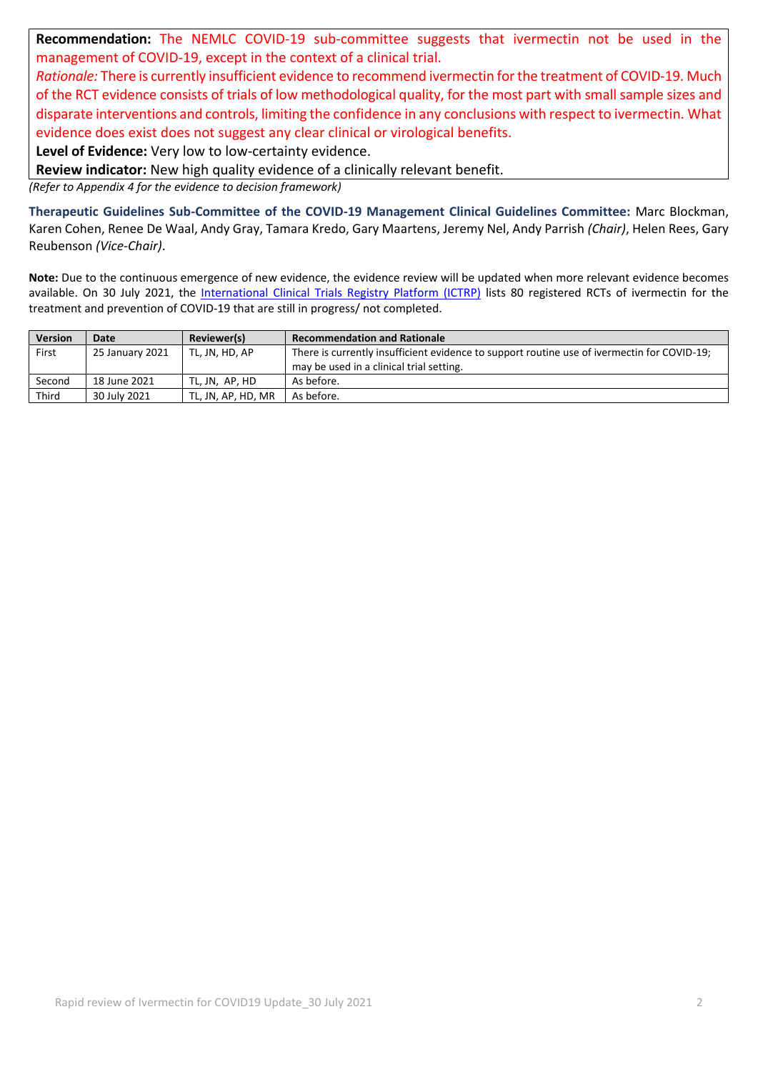**Recommendation:** The NEMLC COVID-19 sub-committee suggests that ivermectin not be used in the management of COVID-19, except in the context of a clinical trial.

*Rationale:* There is currently insufficient evidence to recommend ivermectin for the treatment of COVID-19. Much of the RCT evidence consists of trials of low methodological quality, for the most part with small sample sizes and disparate interventions and controls, limiting the confidence in any conclusions with respect to ivermectin. What evidence does exist does not suggest any clear clinical or virological benefits.

**Level of Evidence:** Very low to low-certainty evidence.

**Review indicator:** New high quality evidence of a clinically relevant benefit.

*(Refer to Appendix 4 for the evidence to decision framework)*

**Therapeutic Guidelines Sub-Committee of the COVID-19 Management Clinical Guidelines Committee:** Marc Blockman, Karen Cohen, Renee De Waal, Andy Gray, Tamara Kredo, Gary Maartens, Jeremy Nel, Andy Parrish *(Chair)*, Helen Rees, Gary Reubenson *(Vice-Chair)*.

**Note:** Due to the continuous emergence of new evidence, the evidence review will be updated when more relevant evidence becomes available. On 30 July 2021, the [International Clinical Trials Registry Platform \(ICTRP\)](https://covid-nma.com/dataviz/) lists 80 registered RCTs of ivermectin for the treatment and prevention of COVID-19 that are still in progress/ not completed.

| <b>Version</b> | Date            | Reviewer(s)        | <b>Recommendation and Rationale</b>                                                         |
|----------------|-----------------|--------------------|---------------------------------------------------------------------------------------------|
| First          | 25 January 2021 | TL, JN, HD, AP     | There is currently insufficient evidence to support routine use of ivermectin for COVID-19; |
|                |                 |                    | may be used in a clinical trial setting.                                                    |
| Second         | 18 June 2021    | TL. JN. AP. HD     | As before.                                                                                  |
| Third          | 30 July 2021    | TL. JN. AP. HD. MR | As before.                                                                                  |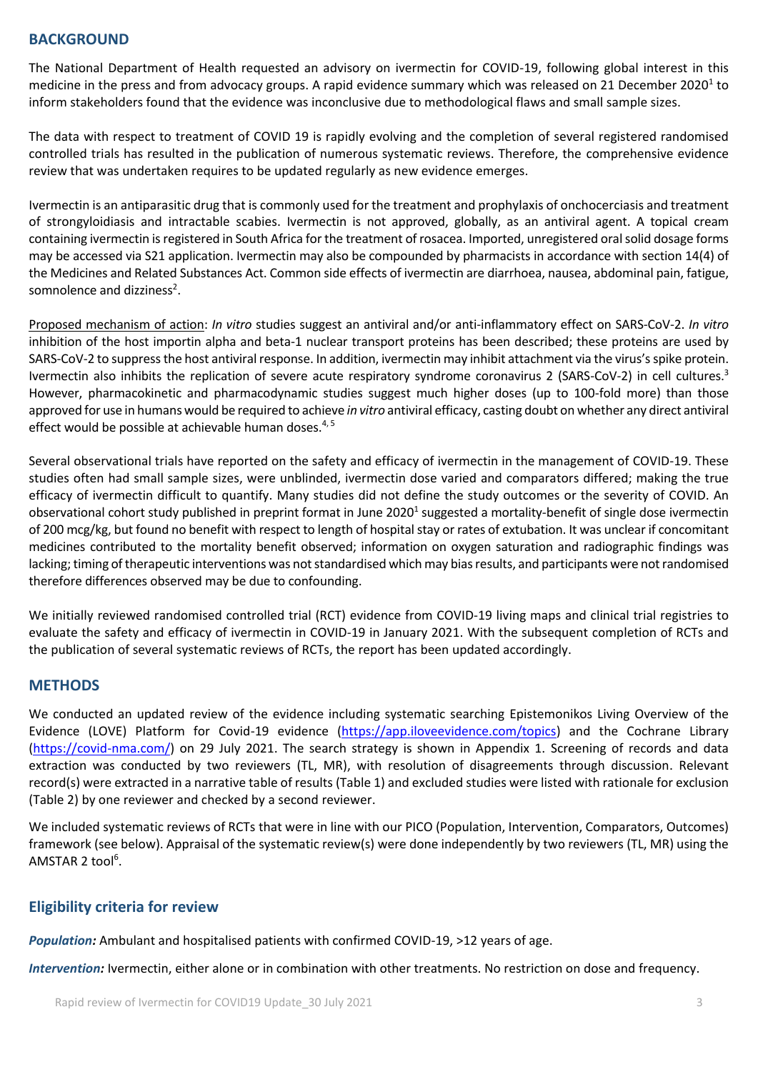### **BACKGROUND**

The National Department of Health requested an advisory on ivermectin for COVID-19, following global interest in this medicine in the press and from advocacy groups. A rapid evidence summary which was released on 21 December 2020<sup>1</sup> to inform stakeholders found that the evidence was inconclusive due to methodological flaws and small sample sizes.

The data with respect to treatment of COVID 19 is rapidly evolving and the completion of several registered randomised controlled trials has resulted in the publication of numerous systematic reviews. Therefore, the comprehensive evidence review that was undertaken requires to be updated regularly as new evidence emerges.

Ivermectin is an antiparasitic drug that is commonly used for the treatment and prophylaxis of onchocerciasis and treatment of strongyloidiasis and intractable scabies. Ivermectin is not approved, globally, as an antiviral agent. A topical cream containing ivermectin is registered in South Africa for the treatment of rosacea. Imported, unregistered oral solid dosage forms may be accessed via S21 application. Ivermectin may also be compounded by pharmacists in accordance with section 14(4) of the Medicines and Related Substances Act. Common side effects of ivermectin are diarrhoea, nausea, abdominal pain, fatigue, somnolence and dizziness<sup>2</sup>.

Proposed mechanism of action: *In vitro* studies suggest an antiviral and/or anti-inflammatory effect on SARS-CoV-2. *In vitro* inhibition of the host importin alpha and beta-1 nuclear transport proteins has been described; these proteins are used by SARS-CoV-2 to suppress the host antiviral response. In addition, ivermectin may inhibit attachment via the virus'sspike protein. Ivermectin also inhibits the replication of severe acute respiratory syndrome coronavirus 2 (SARS-CoV-2) in cell cultures.<sup>3</sup> However, pharmacokinetic and pharmacodynamic studies suggest much higher doses (up to 100-fold more) than those approved for use in humans would be required to achieve *in vitro* antiviral efficacy, casting doubt on whether any direct antiviral effect would be possible at achievable human doses.<sup>4, 5</sup>

Several observational trials have reported on the safety and efficacy of ivermectin in the management of COVID-19. These studies often had small sample sizes, were unblinded, ivermectin dose varied and comparators differed; making the true efficacy of ivermectin difficult to quantify. Many studies did not define the study outcomes or the severity of COVID. An observational cohort study published in preprint format in June 2020<sup>1</sup> suggested a mortality-benefit of single dose ivermectin of 200 mcg/kg, but found no benefit with respect to length of hospital stay or rates of extubation. It was unclear if concomitant medicines contributed to the mortality benefit observed; information on oxygen saturation and radiographic findings was lacking; timing of therapeutic interventions was not standardised which may biasresults, and participants were not randomised therefore differences observed may be due to confounding.

We initially reviewed randomised controlled trial (RCT) evidence from COVID-19 living maps and clinical trial registries to evaluate the safety and efficacy of ivermectin in COVID-19 in January 2021. With the subsequent completion of RCTs and the publication of several systematic reviews of RCTs, the report has been updated accordingly.

### **METHODS**

We conducted an updated review of the evidence including systematic searching Epistemonikos Living Overview of the Evidence (LOVE) Platform for Covid-19 evidence [\(https://app.iloveevidence.com/topics\)](https://app.iloveevidence.com/topics) and the Cochrane Library [\(https://covid-nma.com/\)](https://covid-nma.com/) on 29 July 2021. The search strategy is shown in Appendix 1. Screening of records and data extraction was conducted by two reviewers (TL, MR), with resolution of disagreements through discussion. Relevant record(s) were extracted in a narrative table of results (Table 1) and excluded studies were listed with rationale for exclusion (Table 2) by one reviewer and checked by a second reviewer.

We included systematic reviews of RCTs that were in line with our PICO (Population, Intervention, Comparators, Outcomes) framework (see below). Appraisal of the systematic review(s) were done independently by two reviewers (TL, MR) using the AMSTAR 2 tool<sup>6</sup>.

### **Eligibility criteria for review**

*Population:* Ambulant and hospitalised patients with confirmed COVID-19, >12 years of age.

*Intervention:* Ivermectin, either alone or in combination with other treatments. No restriction on dose and frequency.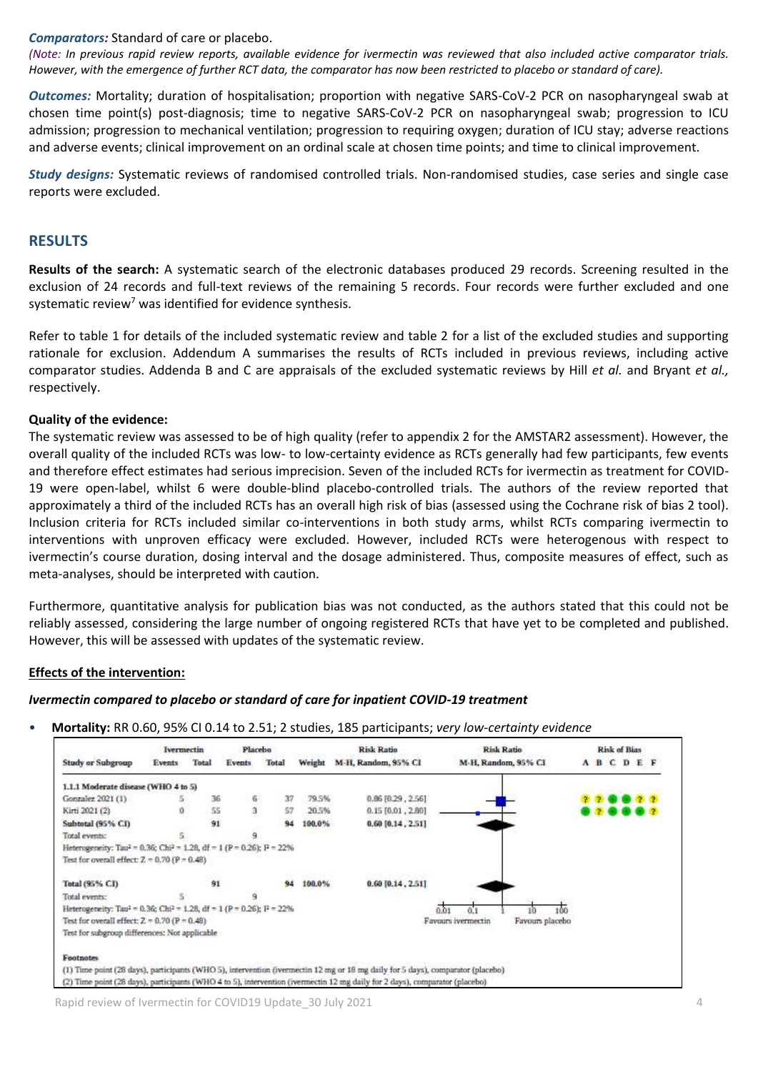### *Comparators:* Standard of care or placebo.

*(Note: In previous rapid review reports, available evidence for ivermectin was reviewed that also included active comparator trials. However, with the emergence of further RCT data, the comparator has now been restricted to placebo or standard of care).*

*Outcomes:* Mortality; duration of hospitalisation; proportion with negative SARS-CoV-2 PCR on nasopharyngeal swab at chosen time point(s) post-diagnosis; time to negative SARS-CoV-2 PCR on nasopharyngeal swab; progression to ICU admission; progression to mechanical ventilation; progression to requiring oxygen; duration of ICU stay; adverse reactions and adverse events; clinical improvement on an ordinal scale at chosen time points; and time to clinical improvement.

*Study designs:* Systematic reviews of randomised controlled trials. Non-randomised studies, case series and single case reports were excluded.

### **RESULTS**

**Results of the search:** A systematic search of the electronic databases produced 29 records. Screening resulted in the exclusion of 24 records and full-text reviews of the remaining 5 records. Four records were further excluded and one systematic review<sup>7</sup> was identified for evidence synthesis.

Refer to table 1 for details of the included systematic review and table 2 for a list of the excluded studies and supporting rationale for exclusion. Addendum A summarises the results of RCTs included in previous reviews, including active comparator studies. Addenda B and C are appraisals of the excluded systematic reviews by Hill *et al.* and Bryant *et al.,* respectively.

### **Quality of the evidence:**

The systematic review was assessed to be of high quality (refer to appendix 2 for the AMSTAR2 assessment). However, the overall quality of the included RCTs was low- to low-certainty evidence as RCTs generally had few participants, few events and therefore effect estimates had serious imprecision. Seven of the included RCTs for ivermectin as treatment for COVID-19 were open-label, whilst 6 were double-blind placebo-controlled trials. The authors of the review reported that approximately a third of the included RCTs has an overall high risk of bias (assessed using the Cochrane risk of bias 2 tool). Inclusion criteria for RCTs included similar co-interventions in both study arms, whilst RCTs comparing ivermectin to interventions with unproven efficacy were excluded. However, included RCTs were heterogenous with respect to ivermectin's course duration, dosing interval and the dosage administered. Thus, composite measures of effect, such as meta-analyses, should be interpreted with caution.

Furthermore, quantitative analysis for publication bias was not conducted, as the authors stated that this could not be reliably assessed, considering the large number of ongoing registered RCTs that have yet to be completed and published. However, this will be assessed with updates of the systematic review.

### **Effects of the intervention:**

### *Ivermectin compared to placebo or standard of care for inpatient COVID-19 treatment*

• **Mortality:** RR 0.60, 95% CI 0.14 to 2.51; 2 studies, 185 participants; *very low-certainty evidence*



Rapid review of Ivermectin for COVID19 Update 30 July 2021 44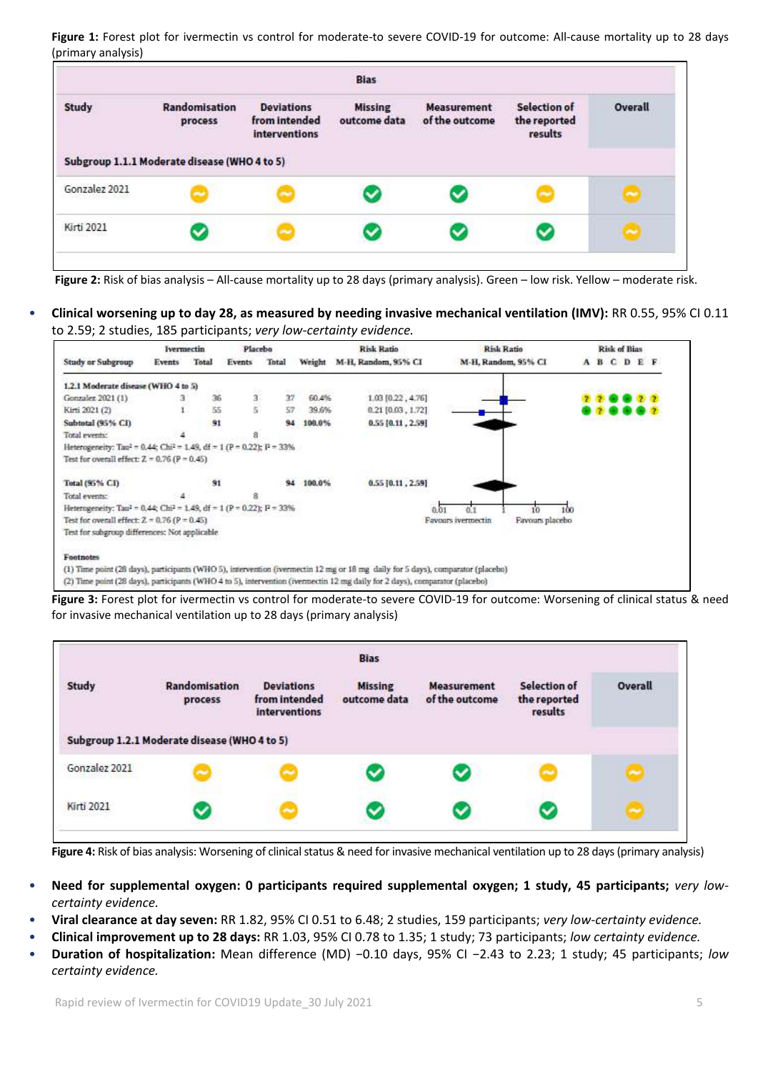**Figure 1:** Forest plot for ivermectin vs control for moderate-to severe COVID-19 for outcome: All-cause mortality up to 28 days (primary analysis)

|               |                                              |                                                     | <b>Bias</b>                    |                                      |                                                |         |
|---------------|----------------------------------------------|-----------------------------------------------------|--------------------------------|--------------------------------------|------------------------------------------------|---------|
| <b>Study</b>  | Randomisation<br>process                     | <b>Deviations</b><br>from intended<br>interventions | <b>Missing</b><br>outcome data | <b>Measurement</b><br>of the outcome | <b>Selection of</b><br>the reported<br>results | Overall |
|               | Subgroup 1.1.1 Moderate disease (WHO 4 to 5) |                                                     |                                |                                      |                                                |         |
|               |                                              |                                                     |                                |                                      |                                                |         |
| Gonzalez 2021 |                                              |                                                     |                                |                                      | 2                                              |         |

**Figure 2:** Risk of bias analysis – All-cause mortality up to 28 days (primary analysis). Green – low risk. Yellow – moderate risk.

• **Clinical worsening up to day 28, as measured by needing invasive mechanical ventilation (IMV):** RR 0.55, 95% CI 0.11 to 2.59; 2 studies, 185 participants; *very low-certainty evidence.*



**Figure 3:** Forest plot for ivermectin vs control for moderate-to severe COVID-19 for outcome: Worsening of clinical status & need for invasive mechanical ventilation up to 28 days (primary analysis)



**Figure 4:** Risk of bias analysis: Worsening of clinical status & need for invasive mechanical ventilation up to 28 days (primary analysis)

- **Need for supplemental oxygen: 0 participants required supplemental oxygen; 1 study, 45 participants;** *very lowcertainty evidence.*
- **Viral clearance at day seven:** RR 1.82, 95% CI 0.51 to 6.48; 2 studies, 159 participants; *very low-certainty evidence.*
- **Clinical improvement up to 28 days:** RR 1.03, 95% CI 0.78 to 1.35; 1 study; 73 participants; *low certainty evidence.*
- **Duration of hospitalization:** Mean difference (MD) −0.10 days, 95% CI −2.43 to 2.23; 1 study; 45 participants; *low certainty evidence.*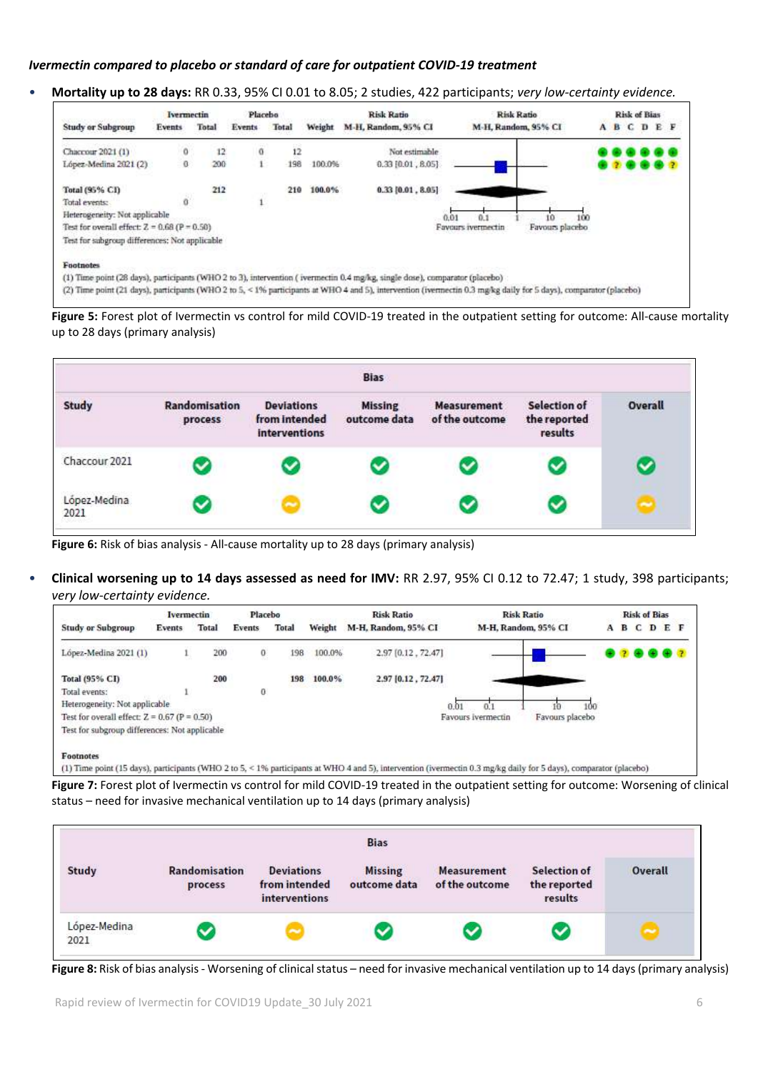### *Ivermectin compared to placebo or standard of care for outpatient COVID-19 treatment*

• **Mortality up to 28 days:** RR 0.33, 95% CI 0.01 to 8.05; 2 studies, 422 participants; *very low-certainty evidence.*



**Figure 5:** Forest plot of Ivermectin vs control for mild COVID-19 treated in the outpatient setting for outcome: All-cause mortality up to 28 days (primary analysis)



**Figure 6:** Risk of bias analysis - All-cause mortality up to 28 days (primary analysis)

• **Clinical worsening up to 14 days assessed as need for IMV:** RR 2.97, 95% CI 0.12 to 72.47; 1 study, 398 participants; *very low-certainty evidence.*



**Figure 7:** Forest plot of Ivermectin vs control for mild COVID-19 treated in the outpatient setting for outcome: Worsening of clinical status – need for invasive mechanical ventilation up to 14 days (primary analysis)



**Figure 8:** Risk of bias analysis - Worsening of clinical status – need for invasive mechanical ventilation up to 14 days (primary analysis)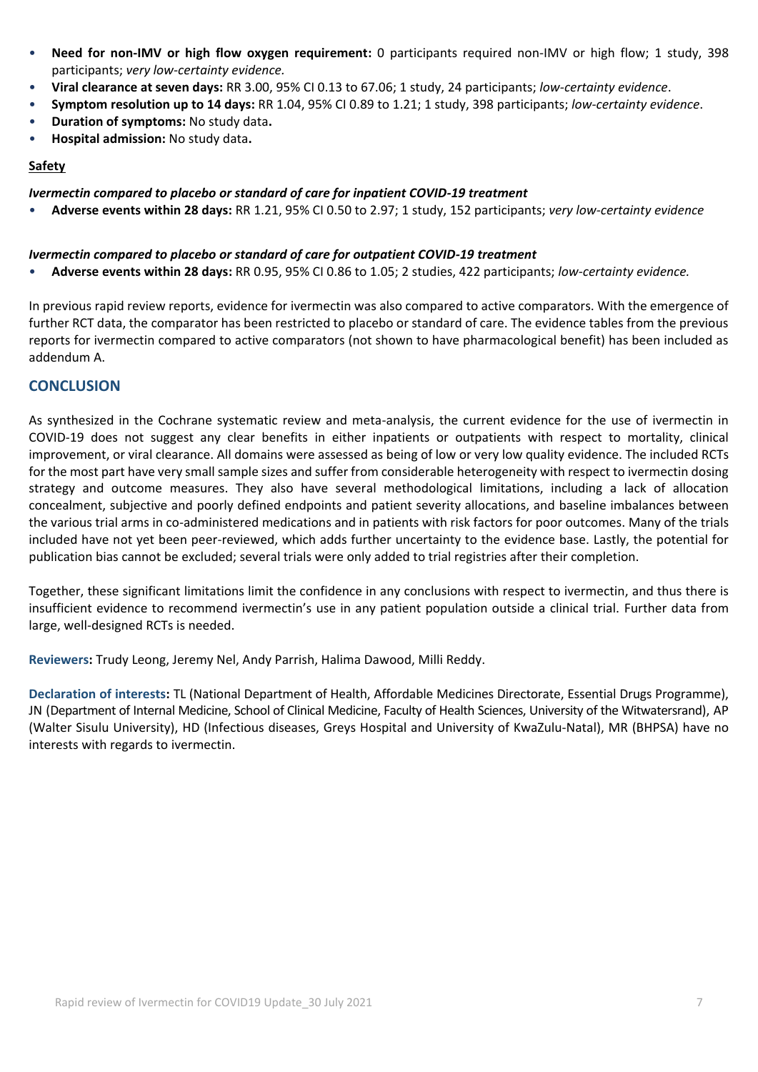- **Need for non-IMV or high flow oxygen requirement:** 0 participants required non-IMV or high flow; 1 study, 398 participants; *very low-certainty evidence.*
- **Viral clearance at seven days:** RR 3.00, 95% CI 0.13 to 67.06; 1 study, 24 participants; *low-certainty evidence*.
- **Symptom resolution up to 14 days:** RR 1.04, 95% CI 0.89 to 1.21; 1 study, 398 participants; *low-certainty evidence*.
- **Duration of symptoms:** No study data**.**
- **Hospital admission:** No study data**.**

### **Safety**

*Ivermectin compared to placebo or standard of care for inpatient COVID-19 treatment*

• **Adverse events within 28 days:** RR 1.21, 95% CI 0.50 to 2.97; 1 study, 152 participants; *very low-certainty evidence*

### *Ivermectin compared to placebo or standard of care for outpatient COVID-19 treatment*

• **Adverse events within 28 days:** RR 0.95, 95% CI 0.86 to 1.05; 2 studies, 422 participants; *low-certainty evidence.*

In previous rapid review reports, evidence for ivermectin was also compared to active comparators. With the emergence of further RCT data, the comparator has been restricted to placebo or standard of care. The evidence tables from the previous reports for ivermectin compared to active comparators (not shown to have pharmacological benefit) has been included as addendum A.

# **CONCLUSION**

As synthesized in the Cochrane systematic review and meta-analysis, the current evidence for the use of ivermectin in COVID-19 does not suggest any clear benefits in either inpatients or outpatients with respect to mortality, clinical improvement, or viral clearance. All domains were assessed as being of low or very low quality evidence. The included RCTs for the most part have very small sample sizes and suffer from considerable heterogeneity with respect to ivermectin dosing strategy and outcome measures. They also have several methodological limitations, including a lack of allocation concealment, subjective and poorly defined endpoints and patient severity allocations, and baseline imbalances between the various trial arms in co-administered medications and in patients with risk factors for poor outcomes. Many of the trials included have not yet been peer-reviewed, which adds further uncertainty to the evidence base. Lastly, the potential for publication bias cannot be excluded; several trials were only added to trial registries after their completion.

Together, these significant limitations limit the confidence in any conclusions with respect to ivermectin, and thus there is insufficient evidence to recommend ivermectin's use in any patient population outside a clinical trial. Further data from large, well-designed RCTs is needed.

**Reviewers:** Trudy Leong, Jeremy Nel, Andy Parrish, Halima Dawood, Milli Reddy.

**Declaration of interests:** TL (National Department of Health, Affordable Medicines Directorate, Essential Drugs Programme), JN (Department of Internal Medicine, School of Clinical Medicine, Faculty of Health Sciences, University of the Witwatersrand), AP (Walter Sisulu University), HD (Infectious diseases, Greys Hospital and University of KwaZulu-Natal), MR (BHPSA) have no interests with regards to ivermectin.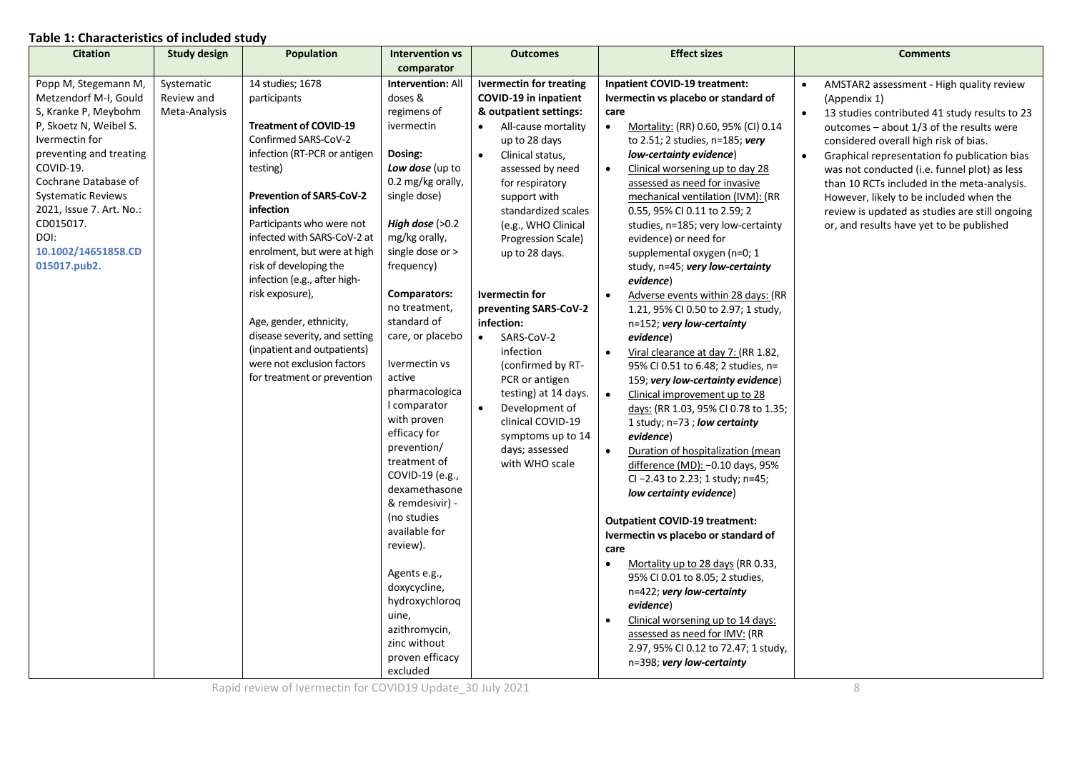## **Table 1: Characteristics of included study**

|                                                                                                                                                                                                                                                                                                 | <b>Study design</b>                       | Population                                                                                                                                                                                                                                                                                                                                                                                                                                                                                                    | <b>Intervention vs</b>                                                                                                                                                                                                                                                                                                                                                                                                                                                                                                                                                                                   | <b>Outcomes</b>                                                                                                                                                                                                                                                                                                                                                                                                                                                                                                                                                                             | <b>Effect sizes</b>                                                                                                                                                                                                                                                                                                                                                                                                                                                                                                                                                                                                                                                                                                                                                                                                                                                                                                                                                                                                                                                                                                                                                                                                                                                                                                                  | <b>Comments</b>                                                                                                                                                                                                                                                                                                                                                                                                                                                                                                  |
|-------------------------------------------------------------------------------------------------------------------------------------------------------------------------------------------------------------------------------------------------------------------------------------------------|-------------------------------------------|---------------------------------------------------------------------------------------------------------------------------------------------------------------------------------------------------------------------------------------------------------------------------------------------------------------------------------------------------------------------------------------------------------------------------------------------------------------------------------------------------------------|----------------------------------------------------------------------------------------------------------------------------------------------------------------------------------------------------------------------------------------------------------------------------------------------------------------------------------------------------------------------------------------------------------------------------------------------------------------------------------------------------------------------------------------------------------------------------------------------------------|---------------------------------------------------------------------------------------------------------------------------------------------------------------------------------------------------------------------------------------------------------------------------------------------------------------------------------------------------------------------------------------------------------------------------------------------------------------------------------------------------------------------------------------------------------------------------------------------|--------------------------------------------------------------------------------------------------------------------------------------------------------------------------------------------------------------------------------------------------------------------------------------------------------------------------------------------------------------------------------------------------------------------------------------------------------------------------------------------------------------------------------------------------------------------------------------------------------------------------------------------------------------------------------------------------------------------------------------------------------------------------------------------------------------------------------------------------------------------------------------------------------------------------------------------------------------------------------------------------------------------------------------------------------------------------------------------------------------------------------------------------------------------------------------------------------------------------------------------------------------------------------------------------------------------------------------|------------------------------------------------------------------------------------------------------------------------------------------------------------------------------------------------------------------------------------------------------------------------------------------------------------------------------------------------------------------------------------------------------------------------------------------------------------------------------------------------------------------|
|                                                                                                                                                                                                                                                                                                 |                                           |                                                                                                                                                                                                                                                                                                                                                                                                                                                                                                               |                                                                                                                                                                                                                                                                                                                                                                                                                                                                                                                                                                                                          |                                                                                                                                                                                                                                                                                                                                                                                                                                                                                                                                                                                             |                                                                                                                                                                                                                                                                                                                                                                                                                                                                                                                                                                                                                                                                                                                                                                                                                                                                                                                                                                                                                                                                                                                                                                                                                                                                                                                                      |                                                                                                                                                                                                                                                                                                                                                                                                                                                                                                                  |
| Popp M, Stegemann M,<br>Metzendorf M-I, Gould<br>S, Kranke P, Meybohm<br>P, Skoetz N, Weibel S.<br>Ivermectin for<br>preventing and treating<br>COVID-19.<br>Cochrane Database of<br>Systematic Reviews<br>2021, Issue 7. Art. No.:<br>CD015017.<br>DOI:<br>10.1002/14651858.CD<br>015017.pub2. | Systematic<br>Review and<br>Meta-Analysis | 14 studies; 1678<br>participants<br><b>Treatment of COVID-19</b><br>Confirmed SARS-CoV-2<br>infection (RT-PCR or antigen<br>testing)<br>Prevention of SARS-CoV-2<br>infection<br>Participants who were not<br>infected with SARS-CoV-2 at<br>enrolment, but were at high<br>risk of developing the<br>infection (e.g., after high-<br>risk exposure),<br>Age, gender, ethnicity,<br>disease severity, and setting<br>(inpatient and outpatients)<br>were not exclusion factors<br>for treatment or prevention | comparator<br><b>Intervention: All</b><br>doses &<br>regimens of<br>ivermectin<br>Dosing:<br>Low dose (up to<br>0.2 mg/kg orally,<br>single dose)<br>High dose $(>0.2)$<br>mg/kg orally,<br>single dose or ><br>frequency)<br>Comparators:<br>no treatment,<br>standard of<br>care, or placebo<br>Ivermectin vs<br>active<br>pharmacologica<br>I comparator<br>with proven<br>efficacy for<br>prevention/<br>treatment of<br>COVID-19 (e.g.,<br>dexamethasone<br>& remdesivir) -<br>(no studies<br>available for<br>review).<br>Agents e.g.,<br>doxycycline,<br>hydroxychloroq<br>uine,<br>azithromycin, | <b>Ivermectin for treating</b><br><b>COVID-19 in inpatient</b><br>& outpatient settings:<br>All-cause mortality<br>up to 28 days<br>$\bullet$<br>Clinical status,<br>assessed by need<br>for respiratory<br>support with<br>standardized scales<br>(e.g., WHO Clinical<br>Progression Scale)<br>up to 28 days.<br>Ivermectin for<br>preventing SARS-CoV-2<br>infection:<br>SARS-CoV-2<br>$\bullet$<br>infection<br>(confirmed by RT-<br>PCR or antigen<br>testing) at 14 days.<br>$\bullet$<br>Development of<br>clinical COVID-19<br>symptoms up to 14<br>days; assessed<br>with WHO scale | <b>Inpatient COVID-19 treatment:</b><br>Ivermectin vs placebo or standard of<br>care<br>Mortality: (RR) 0.60, 95% (CI) 0.14<br>$\bullet$<br>to 2.51; 2 studies, n=185; very<br>low-certainty evidence)<br>Clinical worsening up to day 28<br>$\bullet$<br>assessed as need for invasive<br>mechanical ventilation (IVM): (RR<br>0.55, 95% CI 0.11 to 2.59; 2<br>studies, n=185; very low-certainty<br>evidence) or need for<br>supplemental oxygen (n=0; 1<br>study, n=45; very low-certainty<br>evidence)<br>Adverse events within 28 days: (RR<br>1.21, 95% CI 0.50 to 2.97; 1 study,<br>n=152; very low-certainty<br>evidence)<br>Viral clearance at day 7: (RR 1.82,<br>$\bullet$<br>95% CI 0.51 to 6.48; 2 studies, n=<br>159; very low-certainty evidence)<br>Clinical improvement up to 28<br>$\bullet$<br>days: (RR 1.03, 95% CI 0.78 to 1.35;<br>1 study; $n=73$ ; low certainty<br>evidence)<br>$\bullet$<br>Duration of hospitalization (mean<br>difference (MD): -0.10 days, 95%<br>CI-2.43 to 2.23; 1 study; n=45;<br>low certainty evidence)<br><b>Outpatient COVID-19 treatment:</b><br>Ivermectin vs placebo or standard of<br>care<br>Mortality up to 28 days (RR 0.33,<br>$\bullet$<br>95% CI 0.01 to 8.05; 2 studies,<br>n=422; very low-certainty<br>evidence)<br>Clinical worsening up to 14 days:<br>$\bullet$ | AMSTAR2 assessment - High quality review<br>(Appendix 1)<br>13 studies contributed 41 study results to 23<br>$\bullet$<br>outcomes – about 1/3 of the results were<br>considered overall high risk of bias.<br>Graphical representation fo publication bias<br>$\bullet$<br>was not conducted (i.e. funnel plot) as less<br>than 10 RCTs included in the meta-analysis.<br>However, likely to be included when the<br>review is updated as studies are still ongoing<br>or, and results have yet to be published |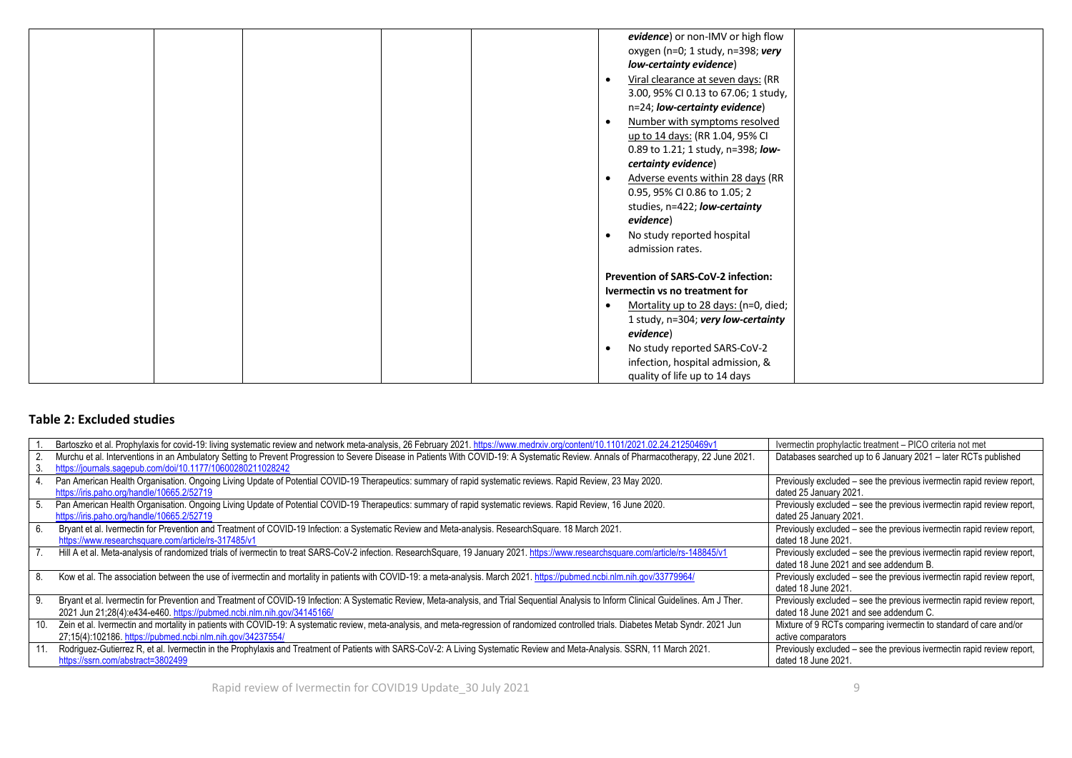|  |  |                                            | evidence) or non-IMV or high flow    |  |
|--|--|--------------------------------------------|--------------------------------------|--|
|  |  |                                            | oxygen (n=0; 1 study, n=398; very    |  |
|  |  | low-certainty evidence)                    |                                      |  |
|  |  |                                            |                                      |  |
|  |  |                                            | Viral clearance at seven days: (RR   |  |
|  |  |                                            | 3.00, 95% CI 0.13 to 67.06; 1 study, |  |
|  |  | n=24; low-certainty evidence)              |                                      |  |
|  |  |                                            | Number with symptoms resolved        |  |
|  |  | up to 14 days: (RR 1.04, 95% CI            |                                      |  |
|  |  |                                            | 0.89 to 1.21; 1 study, n=398; low-   |  |
|  |  | certainty evidence)                        |                                      |  |
|  |  |                                            | Adverse events within 28 days (RR    |  |
|  |  | 0.95, 95% CI 0.86 to 1.05; 2               |                                      |  |
|  |  | studies, n=422; low-certainty              |                                      |  |
|  |  |                                            |                                      |  |
|  |  | evidence)                                  |                                      |  |
|  |  | No study reported hospital                 |                                      |  |
|  |  | admission rates.                           |                                      |  |
|  |  |                                            |                                      |  |
|  |  | <b>Prevention of SARS-CoV-2 infection:</b> |                                      |  |
|  |  | Ivermectin vs no treatment for             |                                      |  |
|  |  |                                            | Mortality up to 28 days: (n=0, died; |  |
|  |  |                                            | 1 study, n=304; very low-certainty   |  |
|  |  | evidence)                                  |                                      |  |
|  |  | No study reported SARS-CoV-2               |                                      |  |
|  |  |                                            | infection, hospital admission, &     |  |
|  |  |                                            |                                      |  |
|  |  | quality of life up to 14 days              |                                      |  |

### **Table 2: Excluded studies**

| Bartoszko et al. Prophylaxis for covid-19: living systematic review and network meta-analysis, 26 February 2021. https://www.medrxiv.org/content/10.1101/2021.02.24.21250469v1                                                                                     | Ivermectin prophylactic treatment – PICO criteria not met                                                        |
|--------------------------------------------------------------------------------------------------------------------------------------------------------------------------------------------------------------------------------------------------------------------|------------------------------------------------------------------------------------------------------------------|
| Murchu et al. Interventions in an Ambulatory Setting to Prevent Progression to Severe Disease in Patients With COVID-19: A Systematic Review. Annals of Pharmacotherapy, 22 June 2021.<br>https://journals.sagepub.com/doi/10.1177/10600280211028242               | Databases searched up to 6 January 2021 – later RCTs published                                                   |
| Pan American Health Organisation. Ongoing Living Update of Potential COVID-19 Therapeutics: summary of rapid systematic reviews. Rapid Review, 23 May 2020.<br>https://iris.paho.org/handle/10665.2/52719                                                          | Previously excluded – see the previous ivermectin rapid review report,<br>dated 25 January 2021.                 |
| Pan American Health Organisation. Ongoing Living Update of Potential COVID-19 Therapeutics: summary of rapid systematic reviews. Rapid Review, 16 June 2020.<br>https://iris.paho.org/handle/10665.2/52719                                                         | Previously excluded – see the previous ivermectin rapid review report,<br>dated 25 January 2021.                 |
| Bryant et al. Ivermectin for Prevention and Treatment of COVID-19 Infection: a Systematic Review and Meta-analysis. Research Square. 18 March 2021.<br>https://www.researchsquare.com/article/rs-317485/v1                                                         | Previously excluded - see the previous ivermectin rapid review report,<br>dated 18 June 2021.                    |
| Hill A et al. Meta-analysis of randomized trials of ivermectin to treat SARS-CoV-2 infection. ResearchSquare, 19 January 2021. https://www.researchsquare.com/article/rs-148845/v1                                                                                 | Previously excluded – see the previous ivermectin rapid review report,<br>dated 18 June 2021 and see addendum B. |
| Kow et al. The association between the use of ivermectin and mortality in patients with COVID-19: a meta-analysis. March 2021. https://pubmed.ncbi.nlm.nih.gov/33779964/                                                                                           | Previously excluded - see the previous ivermectin rapid review report,<br>dated 18 June 2021.                    |
| Bryant et al. Ivermectin for Prevention and Treatment of COVID-19 Infection: A Systematic Review, Meta-analysis, and Trial Sequential Analysis to Inform Clinical Guidelines. Am J Ther.<br>2021 Jun 21;28(4):e434-e460. https://pubmed.ncbi.nlm.nih.gov/34145166/ | Previously excluded – see the previous ivermectin rapid review report,<br>dated 18 June 2021 and see addendum C. |
| 10. Zein et al. Ivermectin and mortality in patients with COVID-19: A systematic review, meta-analysis, and meta-regression of randomized controlled trials. Diabetes Metab Syndr. 2021 Jun<br>27:15(4):102186. https://pubmed.ncbi.nlm.nih.gov/34237554/          | Mixture of 9 RCTs comparing ivermectin to standard of care and/or<br>active comparators                          |
| Rodriguez-Gutierrez R, et al. Ivermectin in the Prophylaxis and Treatment of Patients with SARS-CoV-2: A Living Systematic Review and Meta-Analysis. SSRN, 11 March 2021.<br>https://ssrn.com/abstract=3802499                                                     | Previously excluded – see the previous ivermectin rapid review report,<br>dated 18 June 2021.                    |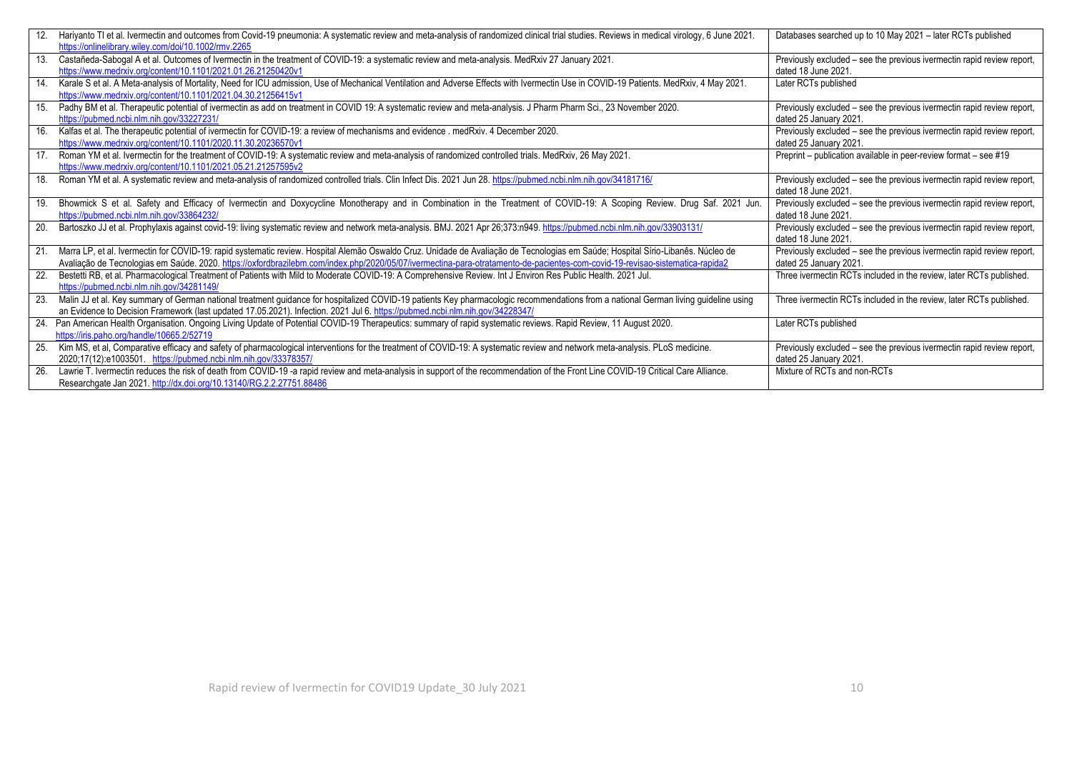| 12. | Hariyanto TI et al. Ivermectin and outcomes from Covid-19 pneumonia: A systematic review and meta-analysis of randomized clinical trial studies. Reviews in medical virology, 6 June 2021.<br>https://onlinelibrary.wiley.com/doi/10.1002/rmv.2265                                                                                                                   | Databases searched up to 10 May 2021 - later RCTs published                                      |
|-----|----------------------------------------------------------------------------------------------------------------------------------------------------------------------------------------------------------------------------------------------------------------------------------------------------------------------------------------------------------------------|--------------------------------------------------------------------------------------------------|
| 13. | Castañeda-Sabogal A et al. Outcomes of Ivermectin in the treatment of COVID-19: a systematic review and meta-analysis. MedRxiv 27 January 2021.<br>https://www.medrxiv.org/content/10.1101/2021.01.26.21250420v1                                                                                                                                                     | Previously excluded – see the previous ivermectin rapid review report,<br>dated 18 June 2021.    |
| 14. | Karale S et al. A Meta-analysis of Mortality, Need for ICU admission, Use of Mechanical Ventilation and Adverse Effects with Ivermectin Use in COVID-19 Patients. MedRxiv, 4 May 2021.<br>https://www.medrxiv.org/content/10.1101/2021.04.30.21256415v1                                                                                                              | Later RCTs published                                                                             |
| 15. | Padhy BM et al. Therapeutic potential of ivermectin as add on treatment in COVID 19: A systematic review and meta-analysis. J Pharm Pharm Sci., 23 November 2020.<br>https://pubmed.ncbi.nlm.nih.gov/33227231/                                                                                                                                                       | Previously excluded – see the previous ivermectin rapid review report,<br>dated 25 January 2021. |
| 16. | Kalfas et al. The therapeutic potential of ivermectin for COVID-19: a review of mechanisms and evidence . medRxiv. 4 December 2020.<br>https://www.medrxiv.org/content/10.1101/2020.11.30.20236570v1                                                                                                                                                                 | Previously excluded – see the previous ivermectin rapid review report,<br>dated 25 January 2021. |
|     | 17. Roman YM et al. Ivermectin for the treatment of COVID-19: A systematic review and meta-analysis of randomized controlled trials. MedRxiv, 26 May 2021.<br>https://www.medrxiv.org/content/10.1101/2021.05.21.21257595y2                                                                                                                                          | Preprint - publication available in peer-review format - see #19                                 |
| 18. | Roman YM et al. A systematic review and meta-analysis of randomized controlled trials. Clin Infect Dis. 2021 Jun 28. https://pubmed.ncbi.nlm.nih.gov/34181716/                                                                                                                                                                                                       | Previously excluded – see the previous ivermectin rapid review report,<br>dated 18 June 2021.    |
| 19. | Bhowmick S et al. Safety and Efficacy of Ivermectin and Doxycycline Monotherapy and in Combination in the Treatment of COVID-19: A Scoping Review. Drug Saf. 2021 Jun.<br>https://pubmed.ncbi.nlm.nih.gov/33864232/                                                                                                                                                  | Previously excluded - see the previous ivermectin rapid review report,<br>dated 18 June 2021.    |
| 20. | Bartoszko JJ et al. Prophylaxis against covid-19: living systematic review and network meta-analysis. BMJ. 2021 Apr 26;373:n949. https://pubmed.ncbi.nlm.nih.gov/33903131/                                                                                                                                                                                           | Previously excluded – see the previous ivermectin rapid review report,<br>dated 18 June 2021.    |
|     | 21. Marra LP, et al. Ivermectin for COVID-19: rapid systematic review. Hospital Alemão Oswaldo Cruz. Unidade de Avaliação de Tecnologias em Saúde; Hospital Sírio-Libanês. Núcleo de<br>Avaliação de Tecnologias em Saúde. 2020. https://oxfordbrazilebm.com/index.php/2020/05/07/ivermectina-para-otratamento-de-pacientes-com-covid-19-revisao-sistematica-rapida2 | Previously excluded - see the previous ivermectin rapid review report,<br>dated 25 January 2021. |
| 22. | Bestetti RB, et al. Pharmacological Treatment of Patients with Mild to Moderate COVID-19: A Comprehensive Review. Int J Environ Res Public Health. 2021 Jul.<br>https://pubmed.ncbi.nlm.nih.gov/34281149/                                                                                                                                                            | Three ivermectin RCTs included in the review, later RCTs published.                              |
| 23. | Malin JJ et al. Key summary of German national treatment guidance for hospitalized COVID-19 patients Key pharmacologic recommendations from a national German living guideline using<br>an Evidence to Decision Framework (last updated 17.05.2021). Infection. 2021 Jul 6. https://pubmed.ncbi.nlm.nih.gov/34228347/                                                | Three ivermectin RCTs included in the review, later RCTs published.                              |
|     | 24. Pan American Health Organisation. Ongoing Living Update of Potential COVID-19 Therapeutics: summary of rapid systematic reviews. Rapid Review, 11 August 2020.<br>https://iris.paho.org/handle/10665.2/52719                                                                                                                                                     | Later RCTs published                                                                             |
| 25. | Kim MS, et al, Comparative efficacy and safety of pharmacological interventions for the treatment of COVID-19: A systematic review and network meta-analysis. PLoS medicine.<br>2020;17(12):e1003501. https://pubmed.ncbi.nlm.nih.gov/33378357/                                                                                                                      | Previously excluded – see the previous ivermectin rapid review report,<br>dated 25 January 2021. |
| 26. | Lawrie T. Ivermectin reduces the risk of death from COVID-19 -a rapid review and meta-analysis in support of the recommendation of the Front Line COVID-19 Critical Care Alliance.<br>Researchgate Jan 2021. http://dx.doi.org/10.13140/RG.2.2.27751.88486                                                                                                           | Mixture of RCTs and non-RCTs                                                                     |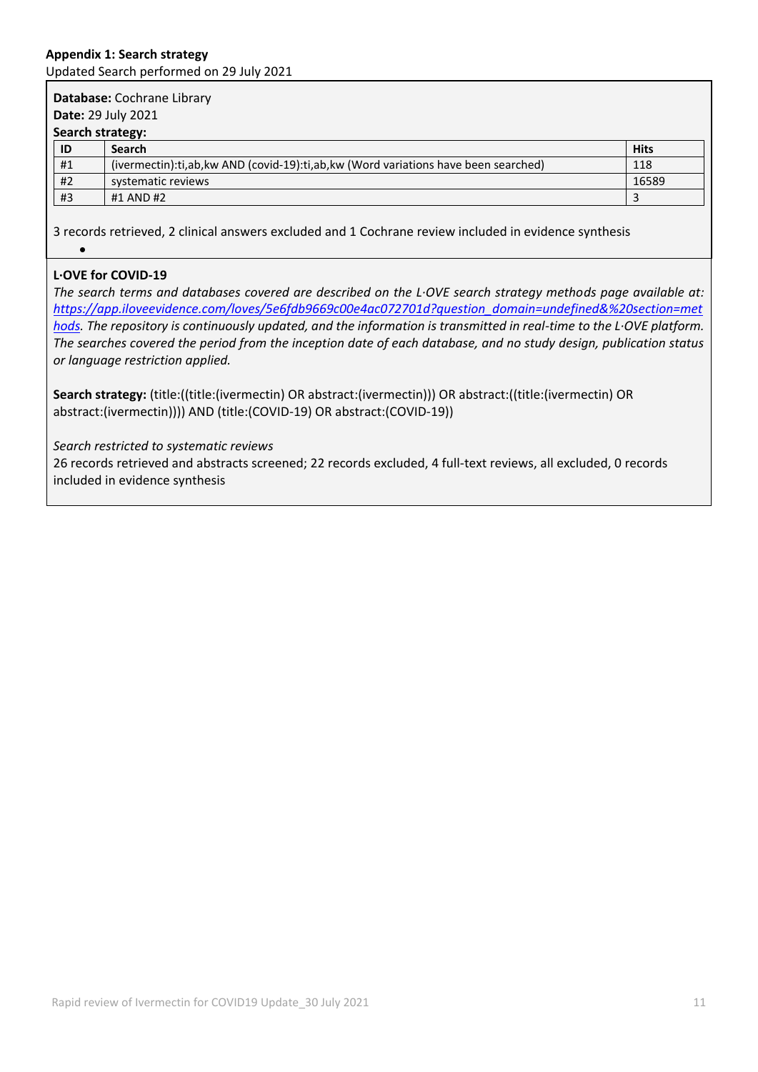### **Appendix 1: Search strategy** Updated Search performed on 29 July 2021

| Database: Cochrane Library<br><b>Date: 29 July 2021</b> |                                                                                      |             |  |  |
|---------------------------------------------------------|--------------------------------------------------------------------------------------|-------------|--|--|
| Search strategy:                                        |                                                                                      |             |  |  |
| ID                                                      | <b>Search</b>                                                                        | <b>Hits</b> |  |  |
| #1                                                      | (ivermectin):ti,ab, kw AND (covid-19):ti,ab, kw (Word variations have been searched) | 118         |  |  |
| #2                                                      | systematic reviews                                                                   | 16589       |  |  |
| #3                                                      | #1 AND #2                                                                            |             |  |  |

3 records retrieved, 2 clinical answers excluded and 1 Cochrane review included in evidence synthesis  $\bullet$ 

# **L·OVE for COVID-19**

*The search terms and databases covered are described on the L·OVE search strategy methods page available at: [https://app.iloveevidence.com/loves/5e6fdb9669c00e4ac072701d?question\\_domain=undefined&%20section=met](https://app.iloveevidence.com/loves/5e6fdb9669c00e4ac072701d?question_domain=undefined&%20section=methods) [hods.](https://app.iloveevidence.com/loves/5e6fdb9669c00e4ac072701d?question_domain=undefined&%20section=methods) The repository is continuously updated, and the information is transmitted in real-time to the L·OVE platform. The searches covered the period from the inception date of each database, and no study design, publication status or language restriction applied.*

**Search strategy:** (title:((title:(ivermectin) OR abstract:(ivermectin))) OR abstract:((title:(ivermectin) OR abstract:(ivermectin)))) AND (title:(COVID-19) OR abstract:(COVID-19))

*Search restricted to systematic reviews*

26 records retrieved and abstracts screened; 22 records excluded, 4 full-text reviews, all excluded, 0 records included in evidence synthesis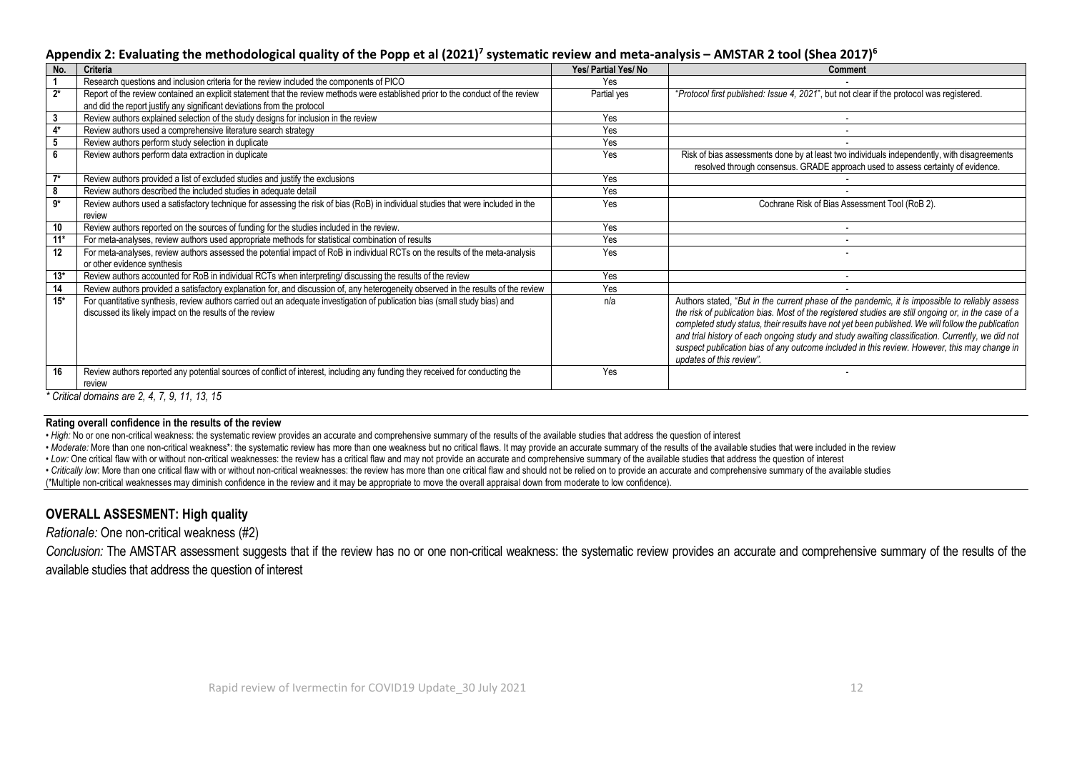### **Appendix 2: Evaluating the methodological quality of the Popp et al (2021)<sup>7</sup> systematic review and meta-analysis – AMSTAR 2 tool (Shea 2017)<sup>6</sup>**

| . .<br>No. | Criteria                                                                                                                                                                                                    | Yes/ Partial Yes/ No | <b>Comment</b>                                                                                                                                                                                                                                                                                                                                                                                                                                                                                                                             |
|------------|-------------------------------------------------------------------------------------------------------------------------------------------------------------------------------------------------------------|----------------------|--------------------------------------------------------------------------------------------------------------------------------------------------------------------------------------------------------------------------------------------------------------------------------------------------------------------------------------------------------------------------------------------------------------------------------------------------------------------------------------------------------------------------------------------|
|            | Research questions and inclusion criteria for the review included the components of PICO                                                                                                                    | Yes                  |                                                                                                                                                                                                                                                                                                                                                                                                                                                                                                                                            |
| $2^*$      | Report of the review contained an explicit statement that the review methods were established prior to the conduct of the review<br>and did the report justify any significant deviations from the protocol | Partial yes          | "Protocol first published: Issue 4, 2021", but not clear if the protocol was registered.                                                                                                                                                                                                                                                                                                                                                                                                                                                   |
| 3          | Review authors explained selection of the study designs for inclusion in the review                                                                                                                         | Yes                  |                                                                                                                                                                                                                                                                                                                                                                                                                                                                                                                                            |
| 4*         | Review authors used a comprehensive literature search strategy                                                                                                                                              | Yes                  |                                                                                                                                                                                                                                                                                                                                                                                                                                                                                                                                            |
|            | Review authors perform study selection in duplicate                                                                                                                                                         | Yes                  |                                                                                                                                                                                                                                                                                                                                                                                                                                                                                                                                            |
|            | Review authors perform data extraction in duplicate                                                                                                                                                         | Yes                  | Risk of bias assessments done by at least two individuals independently, with disagreements<br>resolved through consensus. GRADE approach used to assess certainty of evidence.                                                                                                                                                                                                                                                                                                                                                            |
| $7*$       | Review authors provided a list of excluded studies and justify the exclusions                                                                                                                               | Yes                  |                                                                                                                                                                                                                                                                                                                                                                                                                                                                                                                                            |
| 8          | Review authors described the included studies in adequate detail                                                                                                                                            | Yes                  |                                                                                                                                                                                                                                                                                                                                                                                                                                                                                                                                            |
| $9*$       | Review authors used a satisfactory technique for assessing the risk of bias (RoB) in individual studies that were included in the<br>review                                                                 | Yes                  | Cochrane Risk of Bias Assessment Tool (RoB 2).                                                                                                                                                                                                                                                                                                                                                                                                                                                                                             |
| 10         | Review authors reported on the sources of funding for the studies included in the review.                                                                                                                   | Yes                  |                                                                                                                                                                                                                                                                                                                                                                                                                                                                                                                                            |
| $11*$      | For meta-analyses, review authors used appropriate methods for statistical combination of results                                                                                                           | Yes                  |                                                                                                                                                                                                                                                                                                                                                                                                                                                                                                                                            |
| 12         | For meta-analyses, review authors assessed the potential impact of RoB in individual RCTs on the results of the meta-analysis<br>or other evidence synthesis                                                | Yes                  |                                                                                                                                                                                                                                                                                                                                                                                                                                                                                                                                            |
| $13*$      | Review authors accounted for RoB in individual RCTs when interpreting/ discussing the results of the review                                                                                                 | Yes                  |                                                                                                                                                                                                                                                                                                                                                                                                                                                                                                                                            |
| 14         | Review authors provided a satisfactory explanation for, and discussion of, any heterogeneity observed in the results of the review                                                                          | Yes                  |                                                                                                                                                                                                                                                                                                                                                                                                                                                                                                                                            |
| $15*$      | For quantitative synthesis, review authors carried out an adequate investigation of publication bias (small study bias) and<br>discussed its likely impact on the results of the review                     | n/a                  | Authors stated, "But in the current phase of the pandemic, it is impossible to reliably assess<br>the risk of publication bias. Most of the registered studies are still ongoing or, in the case of a<br>completed study status, their results have not yet been published. We will follow the publication<br>and trial history of each ongoing study and study awaiting classification. Currently, we did not<br>suspect publication bias of any outcome included in this review. However, this may change in<br>updates of this review". |
| 16         | Review authors reported any potential sources of conflict of interest, including any funding they received for conducting the<br>review                                                                     | Yes                  |                                                                                                                                                                                                                                                                                                                                                                                                                                                                                                                                            |
|            | * Critical domains are $2, 4, 7, 9, 11, 13, 15$                                                                                                                                                             |                      |                                                                                                                                                                                                                                                                                                                                                                                                                                                                                                                                            |

*\* Critical domains are 2, 4, 7, 9, 11, 13, 15*

#### **Rating overall confidence in the results of the review**

• *High:* No or one non-critical weakness: the systematic review provides an accurate and comprehensive summary of the results of the available studies that address the question of interest

• Moderate: More than one non-critical weakness\*: the systematic review has more than one weakness but no critical flaws. It may provide an accurate summary of the results of the available studies that were included in the

*• Low:* One critical flaw with or without non-critical weaknesses: the review has a critical flaw and may not provide an accurate and comprehensive summary of the available studies that address the question of interest

· Critically low: More than one critical flaw with or without non-critical weaknesses: the review has more than one critical flaw and should not be relied on to provide an accurate and comprehensive summary of the availabl

(\*Multiple non-critical weaknesses may diminish confidence in the review and it may be appropriate to move the overall appraisal down from moderate to low confidence).

### **OVERALL ASSESMENT: High quality**

*Rationale:* One non-critical weakness (#2)

*Conclusion:* The AMSTAR assessment suggests that if the review has no or one non-critical weakness: the systematic review provides an accurate and comprehensive summary of the results of the available studies that address the question of interest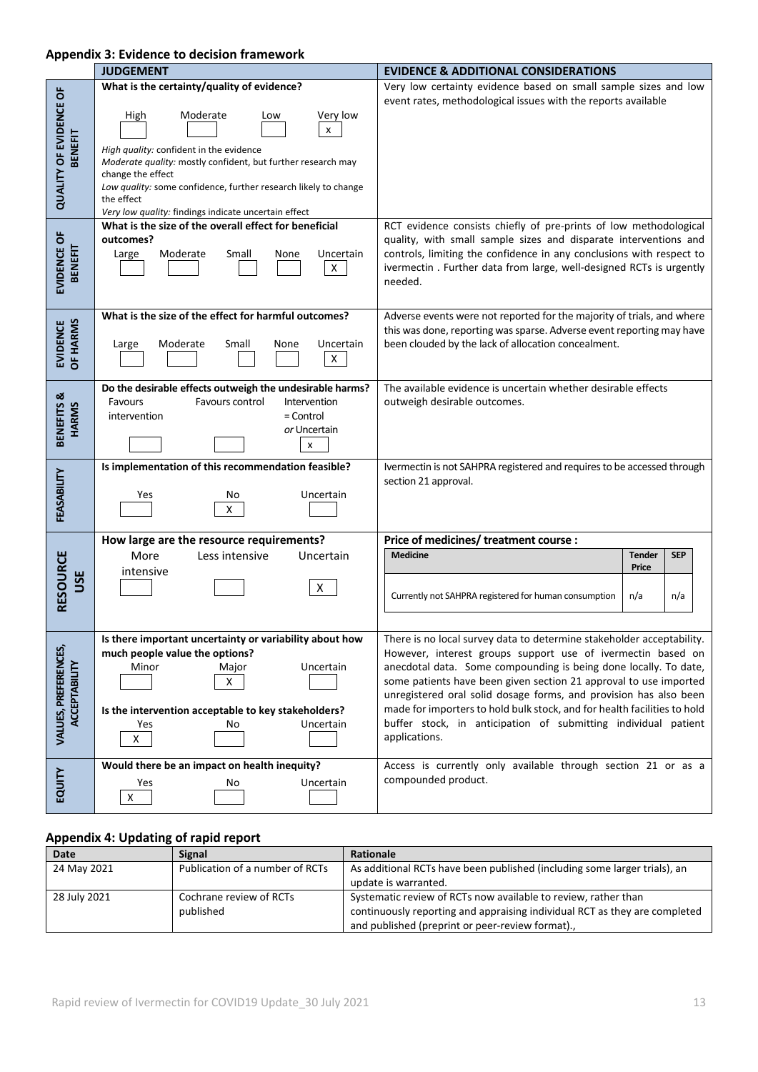### **Appendix 3: Evidence to decision framework**

|                                       | <b>JUDGEMENT</b>                                                                                              | <b>EVIDENCE &amp; ADDITIONAL CONSIDERATIONS</b>                                                                                       |
|---------------------------------------|---------------------------------------------------------------------------------------------------------------|---------------------------------------------------------------------------------------------------------------------------------------|
|                                       | What is the certainty/quality of evidence?                                                                    | Very low certainty evidence based on small sample sizes and low                                                                       |
|                                       |                                                                                                               | event rates, methodological issues with the reports available                                                                         |
|                                       | High<br>Moderate<br>Very low<br>Low                                                                           |                                                                                                                                       |
|                                       | x                                                                                                             |                                                                                                                                       |
| <b>BENEFIT</b>                        | High quality: confident in the evidence                                                                       |                                                                                                                                       |
|                                       | Moderate quality: mostly confident, but further research may<br>change the effect                             |                                                                                                                                       |
| <b>QUALITY OF EVIDENCE OF</b>         | Low quality: some confidence, further research likely to change                                               |                                                                                                                                       |
|                                       | the effect                                                                                                    |                                                                                                                                       |
|                                       | Very low quality: findings indicate uncertain effect<br>What is the size of the overall effect for beneficial | RCT evidence consists chiefly of pre-prints of low methodological                                                                     |
|                                       | outcomes?                                                                                                     | quality, with small sample sizes and disparate interventions and                                                                      |
| EVIDENCE OF<br><b>BENEFIT</b>         | Moderate<br>Small<br>None<br>Uncertain<br>Large                                                               | controls, limiting the confidence in any conclusions with respect to                                                                  |
|                                       | X.                                                                                                            | ivermectin. Further data from large, well-designed RCTs is urgently                                                                   |
|                                       |                                                                                                               | needed.                                                                                                                               |
|                                       | What is the size of the effect for harmful outcomes?                                                          | Adverse events were not reported for the majority of trials, and where                                                                |
| <b>OF HARMS</b>                       |                                                                                                               | this was done, reporting was sparse. Adverse event reporting may have                                                                 |
| <b>EVIDENCE</b>                       | Moderate<br>Uncertain<br>Small<br>None<br>Large                                                               | been clouded by the lack of allocation concealment.                                                                                   |
|                                       | $\mathsf{X}^-$                                                                                                |                                                                                                                                       |
|                                       | Do the desirable effects outweigh the undesirable harms?                                                      | The available evidence is uncertain whether desirable effects                                                                         |
| BENEFITS &<br><b>HARMS</b>            | Favours control<br>Favours<br>Intervention                                                                    | outweigh desirable outcomes.                                                                                                          |
|                                       | intervention<br>$=$ Control                                                                                   |                                                                                                                                       |
|                                       | or Uncertain                                                                                                  |                                                                                                                                       |
|                                       | x                                                                                                             |                                                                                                                                       |
|                                       | Is implementation of this recommendation feasible?                                                            | Ivermectin is not SAHPRA registered and requires to be accessed through<br>section 21 approval.                                       |
|                                       | Uncertain<br>Yes<br>No                                                                                        |                                                                                                                                       |
| FEASABILITY                           | Χ                                                                                                             |                                                                                                                                       |
|                                       |                                                                                                               |                                                                                                                                       |
|                                       | How large are the resource requirements?<br>Less intensive<br>More<br>Uncertain                               | Price of medicines/ treatment course :<br><b>Medicine</b><br><b>SEP</b><br><b>Tender</b>                                              |
|                                       | intensive                                                                                                     | Price                                                                                                                                 |
| USE                                   | X                                                                                                             |                                                                                                                                       |
| <b>RESOURCE</b>                       |                                                                                                               | Currently not SAHPRA registered for human consumption<br>n/a<br>n/a                                                                   |
|                                       |                                                                                                               |                                                                                                                                       |
|                                       | Is there important uncertainty or variability about how                                                       | There is no local survey data to determine stakeholder acceptability.                                                                 |
|                                       | much people value the options?                                                                                | However, interest groups support use of ivermectin based on                                                                           |
|                                       | Uncertain<br>Minor<br>Major<br>X                                                                              | anecdotal data. Some compounding is being done locally. To date,<br>some patients have been given section 21 approval to use imported |
| VALUES, PREFERENCES,<br>ACCEPTABILITY |                                                                                                               | unregistered oral solid dosage forms, and provision has also been                                                                     |
|                                       | Is the intervention acceptable to key stakeholders?                                                           | made for importers to hold bulk stock, and for health facilities to hold                                                              |
|                                       | Uncertain<br>Yes<br>No                                                                                        | buffer stock, in anticipation of submitting individual patient                                                                        |
|                                       | X                                                                                                             | applications.                                                                                                                         |
|                                       | Would there be an impact on health inequity?                                                                  | Access is currently only available through section 21 or as a                                                                         |
| EQUITY                                | Uncertain<br>Yes<br>No                                                                                        | compounded product.                                                                                                                   |
|                                       | $\pmb{\mathsf{X}}$                                                                                            |                                                                                                                                       |
|                                       |                                                                                                               |                                                                                                                                       |

# **Appendix 4: Updating of rapid report**

| Date         | <b>Signal</b>                   | Rationale                                                                  |
|--------------|---------------------------------|----------------------------------------------------------------------------|
| 24 May 2021  | Publication of a number of RCTs | As additional RCTs have been published (including some larger trials), an  |
|              |                                 | update is warranted.                                                       |
| 28 July 2021 | Cochrane review of RCTs         | Systematic review of RCTs now available to review, rather than             |
|              | published                       | continuously reporting and appraising individual RCT as they are completed |
|              |                                 | and published (preprint or peer-review format).,                           |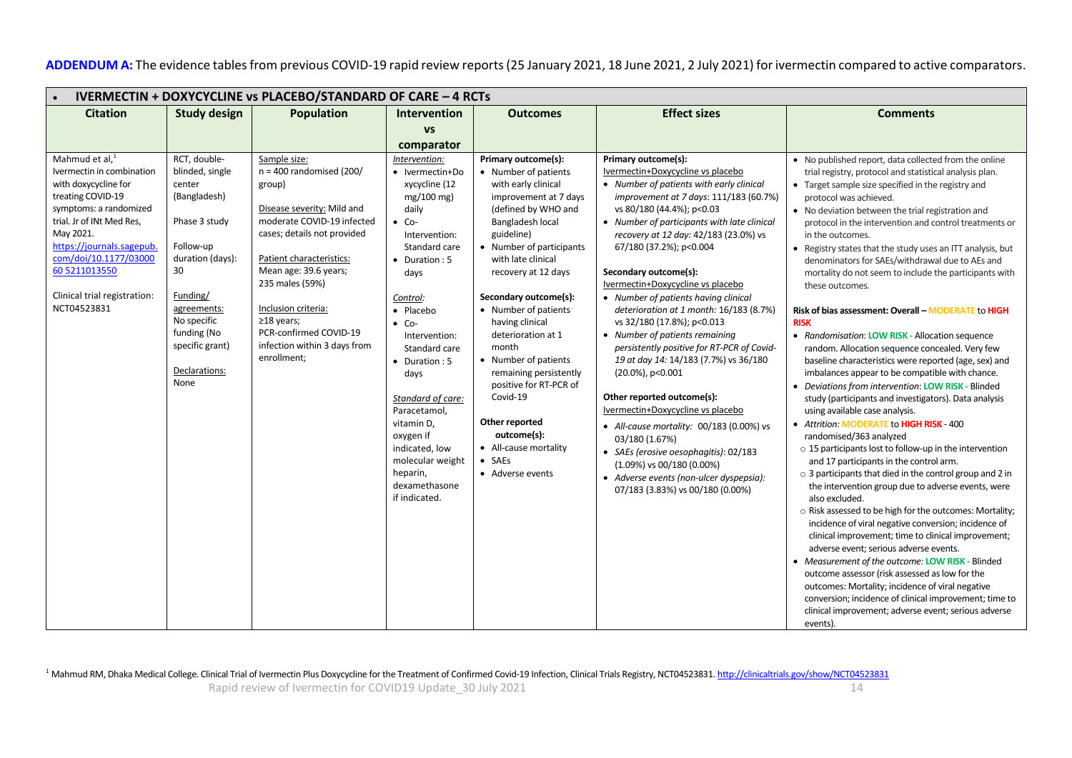ADDENDUM A: The evidence tables from previous COVID-19 rapid review reports (25 January 2021, 18 June 2021, 2 July 2021) for ivermectin compared to active comparators.

| <b>IVERMECTIN + DOXYCYCLINE vs PLACEBO/STANDARD OF CARE - 4 RCTs</b>                                                                                                                                                                                                                                                                                                                                                                                                                                                     |                                                                                                                                                                                                                                                                                                                                             |                                                                                                                                                                                                                                                                                                                                                                                                                          |                                                                                                                                                                                                                                                                                                                                                                                                                                                                                                                   |                                                                                                                                                                                                                                                                                                                                                                                                                                                                                                                                                                                                                                                                                                                                                                                                                                                                                                                     |                                                                                                                                                                                                                                                                                                                                                                                                                                                                                                                                                                                                                                                                                                                                                                                                                                                                                                                                                                                                                                                                                                                                                                                                                                                                                                                                                                                                                                                                                                                                                                                                                                                                                                                                                                                                         |  |  |
|--------------------------------------------------------------------------------------------------------------------------------------------------------------------------------------------------------------------------------------------------------------------------------------------------------------------------------------------------------------------------------------------------------------------------------------------------------------------------------------------------------------------------|---------------------------------------------------------------------------------------------------------------------------------------------------------------------------------------------------------------------------------------------------------------------------------------------------------------------------------------------|--------------------------------------------------------------------------------------------------------------------------------------------------------------------------------------------------------------------------------------------------------------------------------------------------------------------------------------------------------------------------------------------------------------------------|-------------------------------------------------------------------------------------------------------------------------------------------------------------------------------------------------------------------------------------------------------------------------------------------------------------------------------------------------------------------------------------------------------------------------------------------------------------------------------------------------------------------|---------------------------------------------------------------------------------------------------------------------------------------------------------------------------------------------------------------------------------------------------------------------------------------------------------------------------------------------------------------------------------------------------------------------------------------------------------------------------------------------------------------------------------------------------------------------------------------------------------------------------------------------------------------------------------------------------------------------------------------------------------------------------------------------------------------------------------------------------------------------------------------------------------------------|---------------------------------------------------------------------------------------------------------------------------------------------------------------------------------------------------------------------------------------------------------------------------------------------------------------------------------------------------------------------------------------------------------------------------------------------------------------------------------------------------------------------------------------------------------------------------------------------------------------------------------------------------------------------------------------------------------------------------------------------------------------------------------------------------------------------------------------------------------------------------------------------------------------------------------------------------------------------------------------------------------------------------------------------------------------------------------------------------------------------------------------------------------------------------------------------------------------------------------------------------------------------------------------------------------------------------------------------------------------------------------------------------------------------------------------------------------------------------------------------------------------------------------------------------------------------------------------------------------------------------------------------------------------------------------------------------------------------------------------------------------------------------------------------------------|--|--|
| <b>Citation</b><br><b>Study design</b>                                                                                                                                                                                                                                                                                                                                                                                                                                                                                   | <b>Population</b>                                                                                                                                                                                                                                                                                                                           | <b>Intervention</b>                                                                                                                                                                                                                                                                                                                                                                                                      | <b>Outcomes</b>                                                                                                                                                                                                                                                                                                                                                                                                                                                                                                   | <b>Effect sizes</b>                                                                                                                                                                                                                                                                                                                                                                                                                                                                                                                                                                                                                                                                                                                                                                                                                                                                                                 | <b>Comments</b>                                                                                                                                                                                                                                                                                                                                                                                                                                                                                                                                                                                                                                                                                                                                                                                                                                                                                                                                                                                                                                                                                                                                                                                                                                                                                                                                                                                                                                                                                                                                                                                                                                                                                                                                                                                         |  |  |
|                                                                                                                                                                                                                                                                                                                                                                                                                                                                                                                          |                                                                                                                                                                                                                                                                                                                                             | <b>VS</b>                                                                                                                                                                                                                                                                                                                                                                                                                |                                                                                                                                                                                                                                                                                                                                                                                                                                                                                                                   |                                                                                                                                                                                                                                                                                                                                                                                                                                                                                                                                                                                                                                                                                                                                                                                                                                                                                                                     |                                                                                                                                                                                                                                                                                                                                                                                                                                                                                                                                                                                                                                                                                                                                                                                                                                                                                                                                                                                                                                                                                                                                                                                                                                                                                                                                                                                                                                                                                                                                                                                                                                                                                                                                                                                                         |  |  |
|                                                                                                                                                                                                                                                                                                                                                                                                                                                                                                                          |                                                                                                                                                                                                                                                                                                                                             | comparator                                                                                                                                                                                                                                                                                                                                                                                                               |                                                                                                                                                                                                                                                                                                                                                                                                                                                                                                                   |                                                                                                                                                                                                                                                                                                                                                                                                                                                                                                                                                                                                                                                                                                                                                                                                                                                                                                                     |                                                                                                                                                                                                                                                                                                                                                                                                                                                                                                                                                                                                                                                                                                                                                                                                                                                                                                                                                                                                                                                                                                                                                                                                                                                                                                                                                                                                                                                                                                                                                                                                                                                                                                                                                                                                         |  |  |
| Mahmud et al, <sup>1</sup><br>RCT, double-<br>Ivermectin in combination<br>blinded, single<br>with doxycycline for<br>center<br>treating COVID-19<br>(Bangladesh)<br>symptoms: a randomized<br>trial. Jr of INt Med Res,<br>Phase 3 study<br>May 2021.<br>https://journals.sagepub.<br>Follow-up<br>com/doi/10.1177/03000<br>duration (days):<br>60 5211013550<br>30<br>Clinical trial registration:<br>Funding/<br>NCT04523831<br>agreements:<br>No specific<br>funding (No<br>specific grant)<br>Declarations:<br>None | Sample size:<br>$n = 400$ randomised (200/<br>group)<br>Disease severity: Mild and<br>moderate COVID-19 infected<br>cases; details not provided<br>Patient characteristics:<br>Mean age: 39.6 years;<br>235 males (59%)<br>Inclusion criteria:<br>$\geq$ 18 years;<br>PCR-confirmed COVID-19<br>infection within 3 days from<br>enrollment; | Intervention:<br>• Ivermectin+Do<br>xycycline (12<br>$mg/100$ mg)<br>daily<br>$\bullet$ Co-<br>Intervention:<br>Standard care<br>• Duration: 5<br>days<br>Control:<br>• Placebo<br>$\bullet$ Co-<br>Intervention:<br>Standard care<br>$\bullet$ Duration : 5<br>days<br>Standard of care:<br>Paracetamol,<br>vitamin D,<br>oxygen if<br>indicated, low<br>molecular weight<br>heparin,<br>dexamethasone<br>if indicated. | Primary outcome(s):<br>• Number of patients<br>with early clinical<br>improvement at 7 days<br>(defined by WHO and<br>Bangladesh local<br>guideline)<br>• Number of participants<br>with late clinical<br>recovery at 12 days<br>Secondary outcome(s):<br>• Number of patients<br>having clinical<br>deterioration at 1<br>month<br>• Number of patients<br>remaining persistently<br>positive for RT-PCR of<br>Covid-19<br>Other reported<br>outcome(s):<br>• All-cause mortality<br>$-SAEs$<br>• Adverse events | Primary outcome(s):<br>Ivermectin+Doxycycline vs placebo<br>• Number of patients with early clinical<br>improvement at 7 days: 111/183 (60.7%)<br>vs 80/180 (44.4%); p<0.03<br>• Number of participants with late clinical<br>recovery at 12 day: 42/183 (23.0%) vs<br>67/180 (37.2%); p<0.004<br>Secondary outcome(s):<br>Ivermectin+Doxycycline vs placebo<br>• Number of patients having clinical<br>deterioration at 1 month: 16/183 (8.7%)<br>vs 32/180 (17.8%); p<0.013<br>• Number of patients remaining<br>persistently positive for RT-PCR of Covid-<br>19 at day 14: 14/183 (7.7%) vs 36/180<br>(20.0%), p<0.001<br>Other reported outcome(s):<br>Ivermectin+Doxycycline vs placebo<br>• All-cause mortality: 00/183 (0.00%) vs<br>03/180 (1.67%)<br>• SAEs (erosive oesophagitis): 02/183<br>$(1.09\%)$ vs 00/180 (0.00%)<br>• Adverse events (non-ulcer dyspepsia):<br>07/183 (3.83%) vs 00/180 (0.00%) | • No published report, data collected from the online<br>trial registry, protocol and statistical analysis plan.<br>• Target sample size specified in the registry and<br>protocol was achieved.<br>• No deviation between the trial registration and<br>protocol in the intervention and control treatments or<br>in the outcomes.<br>• Registry states that the study uses an ITT analysis, but<br>denominators for SAEs/withdrawal due to AEs and<br>mortality do not seem to include the participants with<br>these outcomes.<br>Risk of bias assessment: Overall - MODERATE to HIGH<br><b>RISK</b><br>• Randomisation: LOW RISK - Allocation sequence<br>random. Allocation sequence concealed. Very few<br>baseline characteristics were reported (age, sex) and<br>imbalances appear to be compatible with chance.<br>• Deviations from intervention: LOW RISK - Blinded<br>study (participants and investigators). Data analysis<br>using available case analysis.<br>• Attrition: MODERATE to HIGH RISK - 400<br>randomised/363 analyzed<br>$\circ$ 15 participants lost to follow-up in the intervention<br>and 17 participants in the control arm.<br>$\circ$ 3 participants that died in the control group and 2 in<br>the intervention group due to adverse events, were<br>also excluded.<br>o Risk assessed to be high for the outcomes: Mortality;<br>incidence of viral negative conversion; incidence of<br>clinical improvement; time to clinical improvement;<br>adverse event; serious adverse events.<br>• Measurement of the outcome: LOW RISK - Blinded<br>outcome assessor (risk assessed as low for the<br>outcomes: Mortality; incidence of viral negative<br>conversion; incidence of clinical improvement; time to<br>clinical improvement; adverse event; serious adverse |  |  |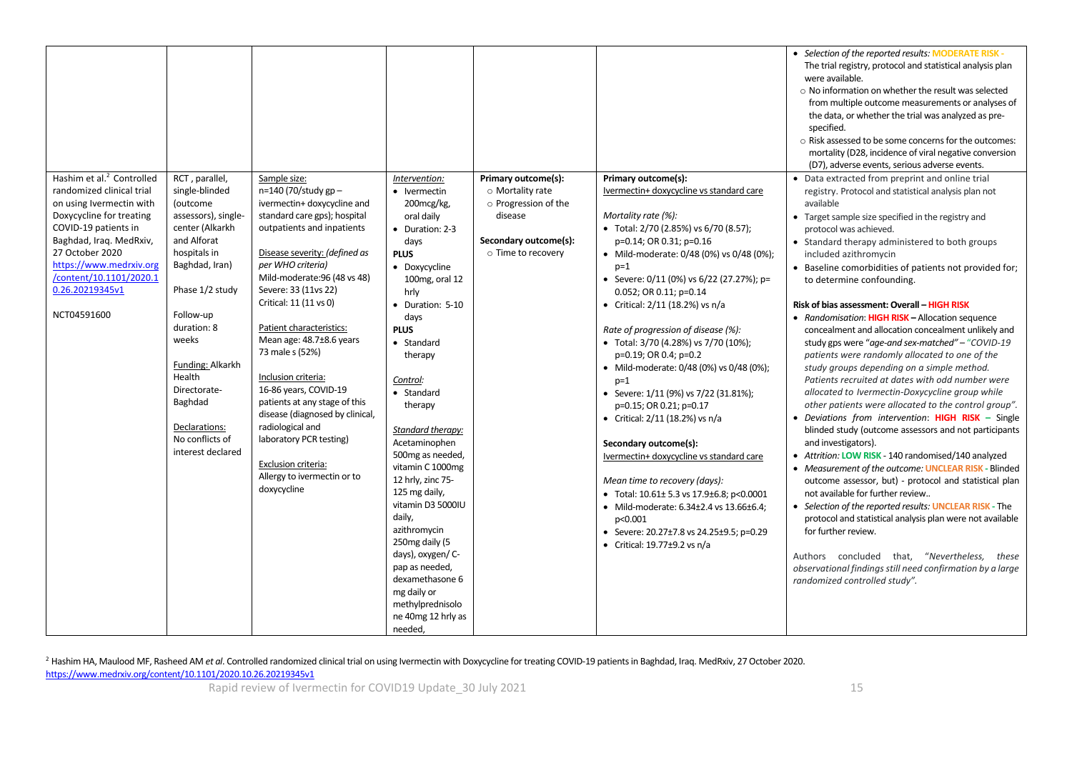|                                       |                     |                                 |                    |                       |                                                       | • Selection of the reported results: MODERATE RISK -       |
|---------------------------------------|---------------------|---------------------------------|--------------------|-----------------------|-------------------------------------------------------|------------------------------------------------------------|
|                                       |                     |                                 |                    |                       |                                                       | The trial registry, protocol and statistical analysis plan |
|                                       |                     |                                 |                    |                       |                                                       | were available.                                            |
|                                       |                     |                                 |                    |                       |                                                       | o No information on whether the result was selected        |
|                                       |                     |                                 |                    |                       |                                                       | from multiple outcome measurements or analyses of          |
|                                       |                     |                                 |                    |                       |                                                       | the data, or whether the trial was analyzed as pre-        |
|                                       |                     |                                 |                    |                       |                                                       |                                                            |
|                                       |                     |                                 |                    |                       |                                                       | specified.                                                 |
|                                       |                     |                                 |                    |                       |                                                       | o Risk assessed to be some concerns for the outcomes:      |
|                                       |                     |                                 |                    |                       |                                                       | mortality (D28, incidence of viral negative conversion     |
|                                       |                     |                                 |                    |                       |                                                       | (D7), adverse events, serious adverse events.              |
| Hashim et al. <sup>2</sup> Controlled | RCT, parallel,      | Sample size:                    | Intervention:      | Primary outcome(s):   | Primary outcome(s):                                   | • Data extracted from preprint and online trial            |
| randomized clinical trial             | single-blinded      | n=140 (70/study gp-             | • Ivermectin       | o Mortality rate      | Ivermectin+ doxycycline vs standard care              | registry. Protocol and statistical analysis plan not       |
| on using Ivermectin with              | (outcome            | ivermectin+ doxycycline and     | 200mcg/kg,         | o Progression of the  |                                                       | available                                                  |
| Doxycycline for treating              | assessors), single- | standard care gps); hospital    | oral daily         | disease               | Mortality rate (%):                                   | • Target sample size specified in the registry and         |
| COVID-19 patients in                  | center (Alkarkh     | outpatients and inpatients      | • Duration: 2-3    |                       | • Total: $2/70$ (2.85%) vs 6/70 (8.57);               | protocol was achieved.                                     |
| Baghdad, Iraq. MedRxiv,               | and Alforat         |                                 |                    | Secondary outcome(s): |                                                       |                                                            |
|                                       |                     |                                 | days               |                       | p=0.14; OR 0.31; p=0.16                               | • Standard therapy administered to both groups             |
| 27 October 2020                       | hospitals in        | Disease severity: (defined as   | <b>PLUS</b>        | o Time to recovery    | • Mild-moderate: 0/48 (0%) vs 0/48 (0%);              | included azithromycin                                      |
| https://www.medrxiv.org               | Baghdad, Iran)      | per WHO criteria)               | • Doxycycline      |                       | $p=1$                                                 | • Baseline comorbidities of patients not provided for;     |
| /content/10.1101/2020.1               |                     | Mild-moderate: 96 (48 vs 48)    | 100mg, oral 12     |                       | • Severe: $0/11$ (0%) vs $6/22$ (27.27%); p=          | to determine confounding.                                  |
| 0.26.20219345v1                       | Phase 1/2 study     | Severe: 33 (11vs 22)            | hrly               |                       | 0.052; OR 0.11; p=0.14                                |                                                            |
|                                       |                     | Critical: 11 (11 vs 0)          | • Duration: 5-10   |                       | • Critical: 2/11 (18.2%) vs n/a                       | <b>Risk of bias assessment: Overall - HIGH RISK</b>        |
| NCT04591600                           | Follow-up           |                                 | days               |                       |                                                       | • Randomisation: HIGH RISK - Allocation sequence           |
|                                       | duration: 8         | Patient characteristics:        | <b>PLUS</b>        |                       | Rate of progression of disease (%):                   | concealment and allocation concealment unlikely and        |
|                                       | weeks               | Mean age: 48.7±8.6 years        | • Standard         |                       | • Total: 3/70 (4.28%) vs 7/70 (10%);                  | study gps were "age-and sex-matched" - "COVID-19           |
|                                       |                     | 73 male s (52%)                 |                    |                       |                                                       |                                                            |
|                                       | Funding: Alkarkh    |                                 | therapy            |                       | p=0.19; OR 0.4; p=0.2                                 | patients were randomly allocated to one of the             |
|                                       | Health              | Inclusion criteria:             |                    |                       | • Mild-moderate: 0/48 (0%) vs 0/48 (0%);              | study groups depending on a simple method.                 |
|                                       |                     |                                 | Control:           |                       | $p=1$                                                 | Patients recruited at dates with odd number were           |
|                                       | Directorate-        | 16-86 years, COVID-19           | • Standard         |                       | • Severe: 1/11 (9%) vs 7/22 (31.81%);                 | allocated to Ivermectin-Doxycycline group while            |
|                                       | Baghdad             | patients at any stage of this   | therapy            |                       | p=0.15; OR 0.21; p=0.17                               | other patients were allocated to the control group".       |
|                                       |                     | disease (diagnosed by clinical, |                    |                       | • Critical: $2/11$ (18.2%) vs n/a                     | • Deviations from intervention: HIGH RISK - Single         |
|                                       | Declarations:       | radiological and                | Standard therapy:  |                       |                                                       | blinded study (outcome assessors and not participants      |
|                                       | No conflicts of     | laboratory PCR testing)         | Acetaminophen      |                       | Secondary outcome(s):                                 | and investigators).                                        |
|                                       | interest declared   |                                 | 500mg as needed,   |                       | Ivermectin+ doxycycline vs standard care              | • Attrition: LOW RISK - 140 randomised/140 analyzed        |
|                                       |                     | Exclusion criteria:             | vitamin C 1000mg   |                       |                                                       |                                                            |
|                                       |                     | Allergy to ivermectin or to     |                    |                       |                                                       | • Measurement of the outcome: UNCLEAR RISK - Blinded       |
|                                       |                     | doxycycline                     | 12 hrly, zinc 75-  |                       | Mean time to recovery (days):                         | outcome assessor, but) - protocol and statistical plan     |
|                                       |                     |                                 | 125 mg daily,      |                       | • Total: $10.61 \pm 5.3$ vs $17.9 \pm 6.8$ ; p<0.0001 | not available for further review                           |
|                                       |                     |                                 | vitamin D3 5000IU  |                       | • Mild-moderate: $6.34\pm2.4$ vs $13.66\pm6.4$ ;      | • Selection of the reported results: UNCLEAR RISK - The    |
|                                       |                     |                                 | daily,             |                       | p<0.001                                               | protocol and statistical analysis plan were not available  |
|                                       |                     |                                 | azithromycin       |                       | • Severe: 20.27±7.8 vs 24.25±9.5; p=0.29              | for further review.                                        |
|                                       |                     |                                 | 250mg daily (5     |                       | • Critical: $19.77\pm9.2$ vs n/a                      |                                                            |
|                                       |                     |                                 | days), oxygen/ C-  |                       |                                                       | Authors concluded that, "Nevertheless, these               |
|                                       |                     |                                 | pap as needed,     |                       |                                                       | observational findings still need confirmation by a large  |
|                                       |                     |                                 | dexamethasone 6    |                       |                                                       | randomized controlled study".                              |
|                                       |                     |                                 | mg daily or        |                       |                                                       |                                                            |
|                                       |                     |                                 | methylprednisolo   |                       |                                                       |                                                            |
|                                       |                     |                                 |                    |                       |                                                       |                                                            |
|                                       |                     |                                 | ne 40mg 12 hrly as |                       |                                                       |                                                            |
|                                       |                     |                                 | needed,            |                       |                                                       |                                                            |

<sup>2</sup> Hashim HA, Maulood MF, Rasheed AM *et al.* Controlled randomized clinical trial on using Ivermectin with Doxycycline for treating COVID-19 patients in Baghdad, Iraq. MedRxiv, 27 October 2020. <https://www.medrxiv.org/content/10.1101/2020.10.26.20219345v1>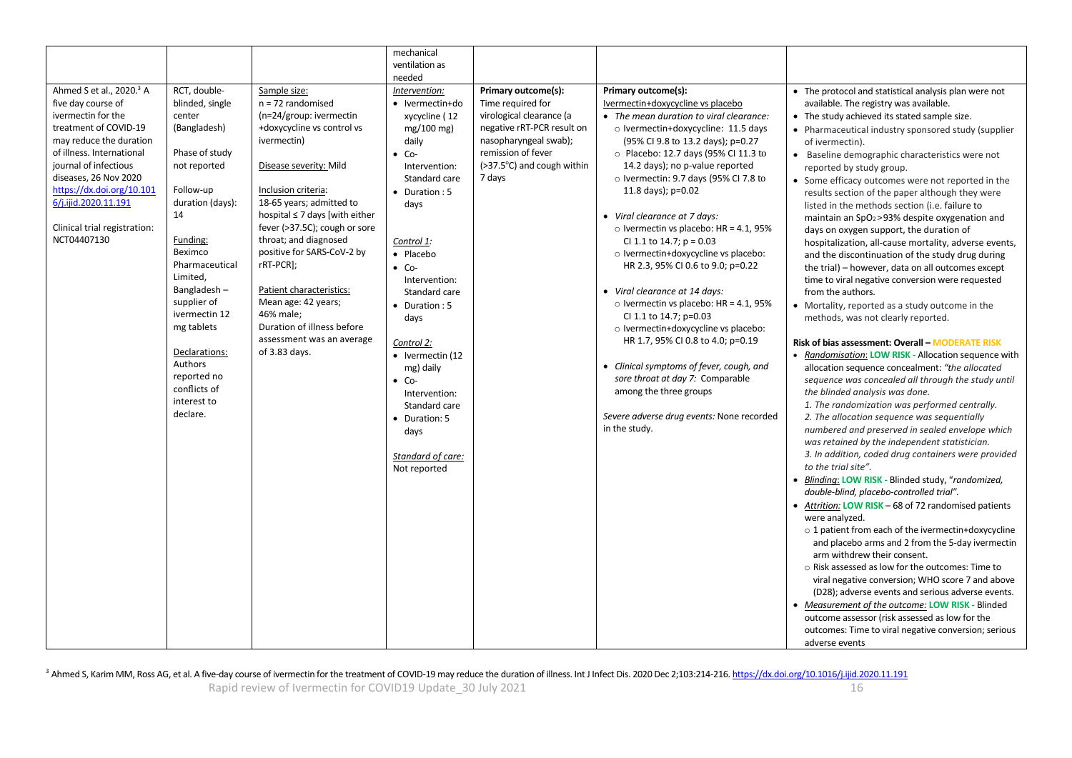|                                                                                                                                                                                                                                                                                                                         |                                                                                                                                                                                                                                                                                                                                            |                                                                                                                                                                                                                                                                                                                                                                                                                                                                                  | mechanical<br>ventilation as<br>needed                                                                                                                                                                                                                                                                                                                                                                                                                |                                                                                                                                                                                           |                                                                                                                                                                                                                                                                                                                                                                                                                                                                                                                                                                                                                                                                                                                                                                                                                                                                                   |                                                                                                                                                                                                                                                                                                                                                                                                                                                                                                                                                                                                                                                                                                                                                                                                                                                                                                                                                                                                                                                                                                                                                                                                                                                                                                                                                                                                                                                                                                                                                                                                                                                                                                                                                                                                                                                                                                                                                                                                                                                                                                                                  |
|-------------------------------------------------------------------------------------------------------------------------------------------------------------------------------------------------------------------------------------------------------------------------------------------------------------------------|--------------------------------------------------------------------------------------------------------------------------------------------------------------------------------------------------------------------------------------------------------------------------------------------------------------------------------------------|----------------------------------------------------------------------------------------------------------------------------------------------------------------------------------------------------------------------------------------------------------------------------------------------------------------------------------------------------------------------------------------------------------------------------------------------------------------------------------|-------------------------------------------------------------------------------------------------------------------------------------------------------------------------------------------------------------------------------------------------------------------------------------------------------------------------------------------------------------------------------------------------------------------------------------------------------|-------------------------------------------------------------------------------------------------------------------------------------------------------------------------------------------|-----------------------------------------------------------------------------------------------------------------------------------------------------------------------------------------------------------------------------------------------------------------------------------------------------------------------------------------------------------------------------------------------------------------------------------------------------------------------------------------------------------------------------------------------------------------------------------------------------------------------------------------------------------------------------------------------------------------------------------------------------------------------------------------------------------------------------------------------------------------------------------|----------------------------------------------------------------------------------------------------------------------------------------------------------------------------------------------------------------------------------------------------------------------------------------------------------------------------------------------------------------------------------------------------------------------------------------------------------------------------------------------------------------------------------------------------------------------------------------------------------------------------------------------------------------------------------------------------------------------------------------------------------------------------------------------------------------------------------------------------------------------------------------------------------------------------------------------------------------------------------------------------------------------------------------------------------------------------------------------------------------------------------------------------------------------------------------------------------------------------------------------------------------------------------------------------------------------------------------------------------------------------------------------------------------------------------------------------------------------------------------------------------------------------------------------------------------------------------------------------------------------------------------------------------------------------------------------------------------------------------------------------------------------------------------------------------------------------------------------------------------------------------------------------------------------------------------------------------------------------------------------------------------------------------------------------------------------------------------------------------------------------------|
| Ahmed S et al., 2020. <sup>3</sup> A<br>five day course of<br>ivermectin for the<br>treatment of COVID-19<br>may reduce the duration<br>of illness. International<br>journal of infectious<br>diseases, 26 Nov 2020<br>https://dx.doi.org/10.101<br>6/j.ijid.2020.11.191<br>Clinical trial registration:<br>NCT04407130 | RCT, double-<br>blinded, single<br>center<br>(Bangladesh)<br>Phase of study<br>not reported<br>Follow-up<br>duration (days):<br>14<br>Funding:<br>Beximco<br>Pharmaceutical<br>Limited.<br>Bangladesh-<br>supplier of<br>ivermectin 12<br>mg tablets<br>Declarations:<br>Authors<br>reported no<br>conflicts of<br>interest to<br>declare. | Sample size:<br>$n = 72$ randomised<br>(n=24/group: ivermectin<br>+doxycycline vs control vs<br>ivermectin)<br>Disease severity: Mild<br>Inclusion criteria:<br>18-65 years; admitted to<br>hospital $\leq 7$ days [with either<br>fever (>37.5C); cough or sore<br>throat; and diagnosed<br>positive for SARS-CoV-2 by<br>rRT-PCR];<br>Patient characteristics:<br>Mean age: 42 years;<br>46% male;<br>Duration of illness before<br>assessment was an average<br>of 3.83 days. | Intervention:<br>• Ivermectin+do<br>xycycline (12<br>mg/100 mg)<br>daily<br>$\bullet$ Co-<br>Intervention:<br>Standard care<br>$\bullet$ Duration : 5<br>days<br>Control 1:<br>• Placebo<br>$\bullet$ Co-<br>Intervention:<br>Standard care<br>$\bullet$ Duration : 5<br>days<br>Control 2:<br>$\bullet$ Ivermectin (12<br>mg) daily<br>$\bullet$ Co-<br>Intervention:<br>Standard care<br>• Duration: 5<br>days<br>Standard of care:<br>Not reported | Primary outcome(s):<br>Time required for<br>virological clearance (a<br>negative rRT-PCR result on<br>nasopharyngeal swab);<br>remission of fever<br>(>37.5°C) and cough within<br>7 days | Primary outcome(s):<br>Ivermectin+doxycycline vs placebo<br>• The mean duration to viral clearance:<br>o Ivermectin+doxycycline: 11.5 days<br>(95% CI 9.8 to 13.2 days); p=0.27<br>O Placebo: 12.7 days (95% CI 11.3 to<br>14.2 days); no p-value reported<br>$\circ$ Ivermectin: 9.7 days (95% CI 7.8 to<br>11.8 days); p=0.02<br>• Viral clearance at 7 days:<br>o Ivermectin vs placebo: HR = 4.1, 95%<br>CI 1.1 to 14.7; $p = 0.03$<br>o Ivermectin+doxycycline vs placebo:<br>HR 2.3, 95% CI 0.6 to 9.0; p=0.22<br>• Viral clearance at 14 days:<br>o Ivermectin vs placebo: HR = $4.1$ , 95%<br>CI 1.1 to 14.7; p=0.03<br>o Ivermectin+doxycycline vs placebo:<br>HR 1.7, 95% CI 0.8 to 4.0; p=0.19<br>• Clinical symptoms of fever, cough, and<br>sore throat at day 7: Comparable<br>among the three groups<br>Severe adverse drug events: None recorded<br>in the study. | • The protocol and statistical analysis plan were not<br>available. The registry was available.<br>• The study achieved its stated sample size.<br>• Pharmaceutical industry sponsored study (supplier<br>of ivermectin).<br>• Baseline demographic characteristics were not<br>reported by study group.<br>• Some efficacy outcomes were not reported in the<br>results section of the paper although they were<br>listed in the methods section (i.e. failure to<br>maintain an SpO <sub>2</sub> >93% despite oxygenation and<br>days on oxygen support, the duration of<br>hospitalization, all-cause mortality, adverse events,<br>and the discontinuation of the study drug during<br>the trial) - however, data on all outcomes except<br>time to viral negative conversion were requested<br>from the authors.<br>• Mortality, reported as a study outcome in the<br>methods, was not clearly reported.<br>Risk of bias assessment: Overall - MODERATE RISK<br>• Randomisation: LOW RISK - Allocation sequence with<br>allocation sequence concealment: "the allocated<br>sequence was concealed all through the study until<br>the blinded analysis was done.<br>1. The randomization was performed centrally.<br>2. The allocation sequence was sequentially<br>numbered and preserved in sealed envelope which<br>was retained by the independent statistician.<br>3. In addition, coded drug containers were provided<br>to the trial site".<br>· Blinding: LOW RISK - Blinded study, "randomized,<br>double-blind, placebo-controlled trial".<br>• Attrition: LOW RISK - 68 of 72 randomised patients<br>were analyzed.<br>$\circ$ 1 patient from each of the ivermectin+doxycycline<br>and placebo arms and 2 from the 5-day ivermectin<br>arm withdrew their consent.<br>o Risk assessed as low for the outcomes: Time to<br>viral negative conversion; WHO score 7 and above<br>(D28); adverse events and serious adverse events.<br>• Measurement of the outcome: LOW RISK - Blinded<br>outcome assessor (risk assessed as low for the<br>outcomes: Time to viral negative conversion; serious<br>adverse events |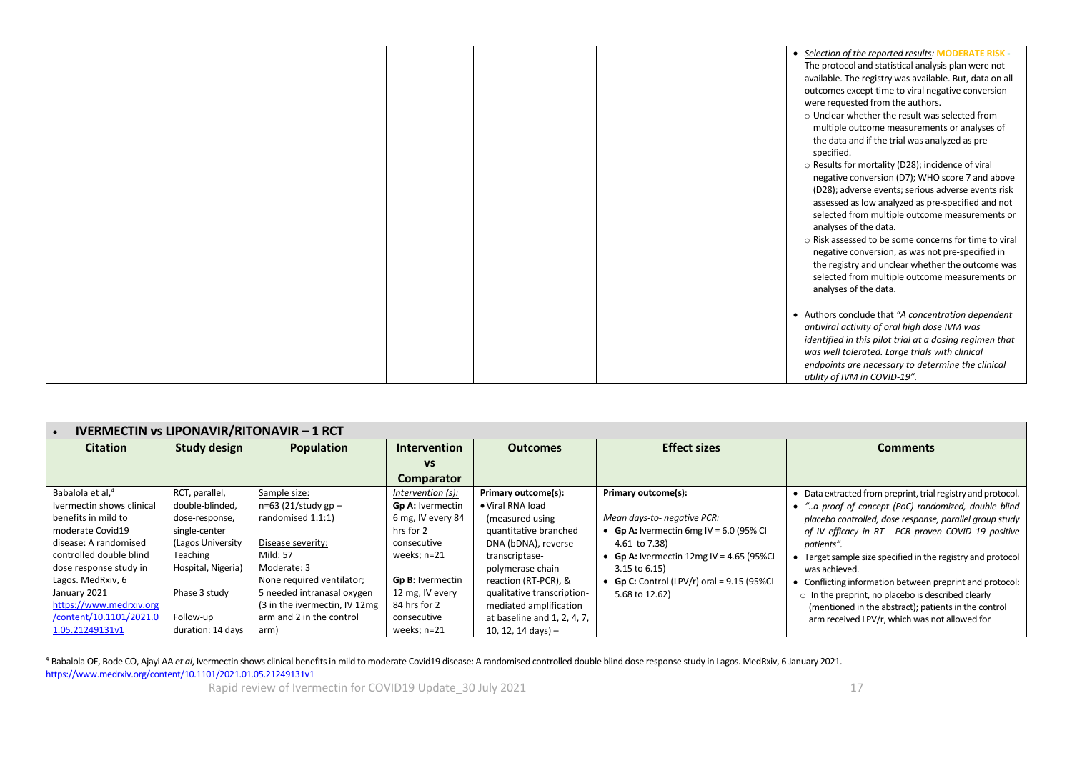|  |  |  | • Selection of the reported results: MODERATE RISK -    |
|--|--|--|---------------------------------------------------------|
|  |  |  | The protocol and statistical analysis plan were not     |
|  |  |  | available. The registry was available. But, data on all |
|  |  |  | outcomes except time to viral negative conversion       |
|  |  |  | were requested from the authors.                        |
|  |  |  | o Unclear whether the result was selected from          |
|  |  |  | multiple outcome measurements or analyses of            |
|  |  |  | the data and if the trial was analyzed as pre-          |
|  |  |  | specified.                                              |
|  |  |  |                                                         |
|  |  |  | o Results for mortality (D28); incidence of viral       |
|  |  |  | negative conversion (D7); WHO score 7 and above         |
|  |  |  | (D28); adverse events; serious adverse events risk      |
|  |  |  | assessed as low analyzed as pre-specified and not       |
|  |  |  | selected from multiple outcome measurements or          |
|  |  |  | analyses of the data.                                   |
|  |  |  | o Risk assessed to be some concerns for time to viral   |
|  |  |  | negative conversion, as was not pre-specified in        |
|  |  |  | the registry and unclear whether the outcome was        |
|  |  |  | selected from multiple outcome measurements or          |
|  |  |  | analyses of the data.                                   |
|  |  |  |                                                         |
|  |  |  | • Authors conclude that "A concentration dependent"     |
|  |  |  | antiviral activity of oral high dose IVM was            |
|  |  |  | identified in this pilot trial at a dosing regimen that |
|  |  |  | was well tolerated. Large trials with clinical          |
|  |  |  |                                                         |
|  |  |  | endpoints are necessary to determine the clinical       |
|  |  |  | utility of IVM in COVID-19".                            |

|                              | <b>IVERMECTIN vs LIPONAVIR/RITONAVIR - 1 RCT</b> |                                |                     |                             |                                              |                                                              |  |  |
|------------------------------|--------------------------------------------------|--------------------------------|---------------------|-----------------------------|----------------------------------------------|--------------------------------------------------------------|--|--|
| <b>Citation</b>              | <b>Study design</b>                              | <b>Population</b>              | <b>Intervention</b> | <b>Outcomes</b>             | <b>Effect sizes</b>                          | <b>Comments</b>                                              |  |  |
|                              |                                                  |                                | <b>VS</b>           |                             |                                              |                                                              |  |  |
|                              |                                                  |                                | <b>Comparator</b>   |                             |                                              |                                                              |  |  |
| Babalola et al, <sup>4</sup> | RCT, parallel,                                   | Sample size:                   | Intervention (s):   | <b>Primary outcome(s):</b>  | Primary outcome(s):                          | • Data extracted from preprint, trial registry and protocol. |  |  |
| Ivermectin shows clinical    | double-blinded.                                  | $n=63$ (21/study gp –          | Gp A: Ivermectin    | • Viral RNA load            |                                              | "a proof of concept (PoC) randomized, double blind           |  |  |
| benefits in mild to          | dose-response,                                   | randomised 1:1:1)              | 6 mg, IV every 84   | (measured using             | Mean days-to- negative PCR:                  | placebo controlled, dose response, parallel group study      |  |  |
| moderate Covid19             | single-center                                    |                                | hrs for 2           | quantitative branched       | • Gp A: Ivermectin 6mg IV = $6.0$ (95% CI    | of IV efficacy in RT - PCR proven COVID 19 positive          |  |  |
| disease: A randomised        | (Lagos University                                | Disease severity:              | consecutive         | DNA (bDNA), reverse         | 4.61 to 7.38)                                | patients".                                                   |  |  |
| controlled double blind      | Teaching                                         | Mild: 57                       | weeks; n=21         | transcriptase-              | • Gp A: Ivermectin $12mg$ IV = 4.65 (95%CI   | Target sample size specified in the registry and protocol    |  |  |
| dose response study in       | Hospital, Nigeria)                               | Moderate: 3                    |                     | polymerase chain            | $3.15$ to $6.15$                             | was achieved.                                                |  |  |
| Lagos. MedRxiv, 6            |                                                  | None required ventilator;      | Gp B: Ivermectin    | reaction (RT-PCR), &        | • Gp C: Control (LPV/r) oral = $9.15$ (95%Cl | • Conflicting information between preprint and protocol:     |  |  |
| January 2021                 | Phase 3 study                                    | 5 needed intranasal oxygen     | 12 mg, IV every     | qualitative transcription-  | 5.68 to 12.62)                               | $\circ$ In the preprint, no placebo is described clearly     |  |  |
| https://www.medrxiv.org      |                                                  | (3 in the ivermectin, IV 12mg) | 84 hrs for 2        | mediated amplification      |                                              | (mentioned in the abstract); patients in the control         |  |  |
| /content/10.1101/2021.0      | Follow-up                                        | arm and 2 in the control       | consecutive         | at baseline and 1, 2, 4, 7, |                                              | arm received LPV/r, which was not allowed for                |  |  |
| 1.05.21249131v1              | duration: 14 days                                | arm)                           | weeks; n=21         | 10, 12, 14 days) $-$        |                                              |                                                              |  |  |

<sup>4</sup> Babalola OE, Bode CO, Ajayi AA *et al*, Ivermectin shows clinical benefits in mild to moderate Covid19 disease: A randomised controlled double blind dose response study in Lagos. MedRxiv, 6 January 2021. <https://www.medrxiv.org/content/10.1101/2021.01.05.21249131v1>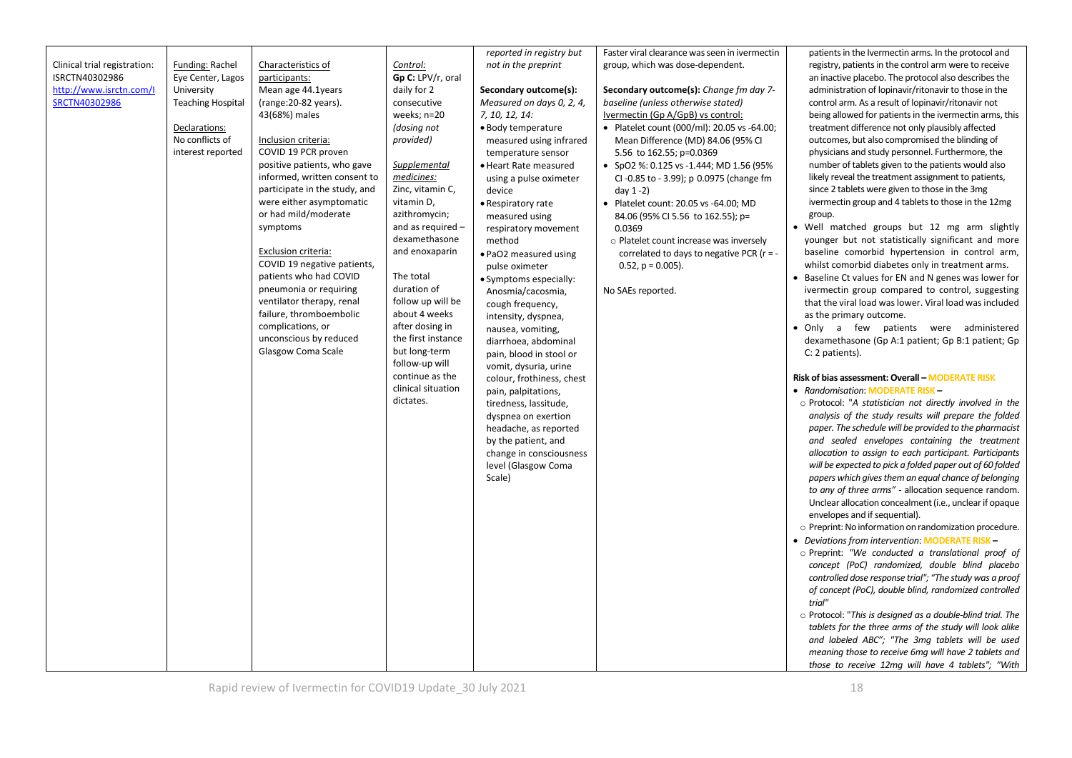| reported in registry but                                                                                       | Faster viral clearance was seen in ivermectin<br>patients in the Ivermectin arms. In the protocol and     |
|----------------------------------------------------------------------------------------------------------------|-----------------------------------------------------------------------------------------------------------|
| Clinical trial registration:<br>Funding: Rachel<br>Characteristics of<br>Control:<br>not in the preprint       | group, which was dose-dependent.<br>registry, patients in the control arm were to receive                 |
| ISRCTN40302986<br>Eye Center, Lagos<br>participants:<br>Gp C: LPV/r, oral                                      | an inactive placebo. The protocol also describes the                                                      |
| http://www.isrctn.com/l<br>University<br>Mean age 44.1years<br>daily for 2<br>Secondary outcome(s):            | Secondary outcome(s): Change fm day 7-<br>administration of lopinavir/ritonavir to those in the           |
| SRCTN40302986<br><b>Teaching Hospital</b><br>(range: 20-82 years).<br>consecutive<br>Measured on days 0, 2, 4, | baseline (unless otherwise stated)<br>control arm. As a result of lopinavir/ritonavir not                 |
| 43(68%) males<br>weeks; n=20<br>7, 10, 12, 14:                                                                 | Ivermectin (Gp A/GpB) vs control:<br>being allowed for patients in the ivermectin arms, this              |
| (dosing not<br>Declarations:<br>• Body temperature                                                             | treatment difference not only plausibly affected<br>• Platelet count (000/ml): 20.05 vs -64.00;           |
| No conflicts of<br>provided)<br>Inclusion criteria:<br>measured using infrared                                 | Mean Difference (MD) 84.06 (95% CI<br>outcomes, but also compromised the blinding of                      |
| COVID 19 PCR proven<br>interest reported<br>temperature sensor                                                 | physicians and study personnel. Furthermore, the<br>5.56 to 162.55; p=0.0369                              |
| positive patients, who gave<br>Supplemental<br>· Heart Rate measured                                           | number of tablets given to the patients would also<br>• SpO2 %: 0.125 vs -1.444; MD 1.56 (95%             |
| medicines:<br>informed, written consent to<br>using a pulse oximeter                                           | likely reveal the treatment assignment to patients,<br>CI-0.85 to - 3.99); p 0.0975 (change fm            |
| Zinc, vitamin C,<br>participate in the study, and<br>device<br>day $1-2$ )                                     | since 2 tablets were given to those in the 3mg                                                            |
| were either asymptomatic<br>vitamin D,<br>• Respiratory rate                                                   | ivermectin group and 4 tablets to those in the 12mg<br>• Platelet count: 20.05 vs -64.00; MD              |
| or had mild/moderate<br>azithromycin;<br>measured using                                                        | group.<br>84.06 (95% CI 5.56 to 162.55); p=                                                               |
| and as required -<br>symptoms<br>0.0369<br>respiratory movement                                                | • Well matched groups but 12 mg arm slightly                                                              |
| dexamethasone<br>method                                                                                        | younger but not statistically significant and more<br>o Platelet count increase was inversely             |
| Exclusion criteria:<br>and enoxaparin<br>. PaO2 measured using                                                 | baseline comorbid hypertension in control arm,<br>correlated to days to negative PCR ( $r = -$            |
| COVID 19 negative patients,<br>pulse oximeter                                                                  | whilst comorbid diabetes only in treatment arms.<br>$0.52$ , $p = 0.005$ ).                               |
| patients who had COVID<br>The total<br>• Symptoms especially:                                                  | • Baseline Ct values for EN and N genes was lower for                                                     |
| duration of<br>pneumonia or requiring<br>Anosmia/cacosmia,                                                     | No SAEs reported.<br>ivermectin group compared to control, suggesting                                     |
| follow up will be<br>ventilator therapy, renal<br>cough frequency,                                             | that the viral load was lower. Viral load was included                                                    |
| failure, thromboembolic<br>about 4 weeks<br>intensity, dyspnea,                                                | as the primary outcome.                                                                                   |
| complications, or<br>after dosing in<br>nausea, vomiting,                                                      | . Only a few patients were administered                                                                   |
| unconscious by reduced<br>the first instance<br>diarrhoea, abdominal                                           | dexamethasone (Gp A:1 patient; Gp B:1 patient; Gp                                                         |
| Glasgow Coma Scale<br>but long-term<br>pain, blood in stool or                                                 | C: 2 patients).                                                                                           |
| follow-up will<br>vomit, dysuria, urine                                                                        |                                                                                                           |
| continue as the<br>colour, frothiness, chest                                                                   | Risk of bias assessment: Overall - MODERATE RISK                                                          |
| clinical situation<br>pain, palpitations,                                                                      | • Randomisation: MODERATE RISK-                                                                           |
| dictates.<br>tiredness, lassitude,                                                                             | o Protocol: "A statistician not directly involved in the                                                  |
| dyspnea on exertion                                                                                            | analysis of the study results will prepare the folded                                                     |
| headache, as reported                                                                                          | paper. The schedule will be provided to the pharmacist                                                    |
| by the patient, and                                                                                            | and sealed envelopes containing the treatment                                                             |
| change in consciousness                                                                                        | allocation to assign to each participant. Participants                                                    |
| level (Glasgow Coma                                                                                            | will be expected to pick a folded paper out of 60 folded                                                  |
| Scale)                                                                                                         | papers which gives them an equal chance of belonging                                                      |
|                                                                                                                | to any of three arms" - allocation sequence random.                                                       |
|                                                                                                                | Unclear allocation concealment (i.e., unclear if opaque                                                   |
|                                                                                                                | envelopes and if sequential).                                                                             |
|                                                                                                                | o Preprint: No information on randomization procedure.                                                    |
|                                                                                                                | • Deviations from intervention: MODERATE RISK -                                                           |
|                                                                                                                | o Preprint: "We conducted a translational proof of                                                        |
|                                                                                                                | concept (PoC) randomized, double blind placebo<br>controlled dose response trial"; "The study was a proof |
|                                                                                                                | of concept (PoC), double blind, randomized controlled                                                     |
|                                                                                                                | trial"                                                                                                    |
|                                                                                                                | $\circ$ Protocol: "This is designed as a double-blind trial. The                                          |
|                                                                                                                | tablets for the three arms of the study will look alike                                                   |
|                                                                                                                | and labeled ABC"; "The 3mq tablets will be used                                                           |
|                                                                                                                | meaning those to receive 6mg will have 2 tablets and                                                      |
|                                                                                                                | those to receive 12mg will have 4 tablets"; "With                                                         |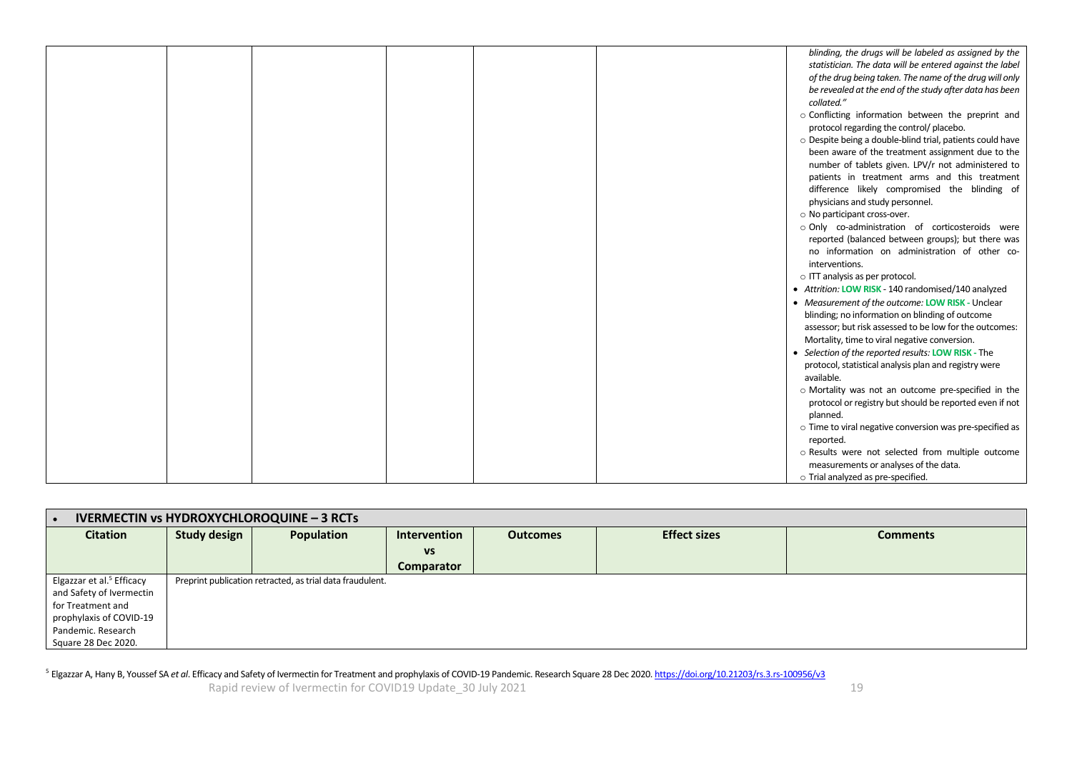|  | blinding, the drugs will be labeled as assigned by the    |
|--|-----------------------------------------------------------|
|  | statistician. The data will be entered against the label  |
|  | of the drug being taken. The name of the drug will only   |
|  | be revealed at the end of the study after data has been   |
|  | collated."                                                |
|  | o Conflicting information between the preprint and        |
|  | protocol regarding the control/ placebo.                  |
|  | o Despite being a double-blind trial, patients could have |
|  | been aware of the treatment assignment due to the         |
|  | number of tablets given. LPV/r not administered to        |
|  | patients in treatment arms and this treatment             |
|  | difference likely compromised the blinding of             |
|  | physicians and study personnel.                           |
|  | o No participant cross-over.                              |
|  | o Only co-administration of corticosteroids were          |
|  | reported (balanced between groups); but there was         |
|  | no information on administration of other co-             |
|  | interventions.                                            |
|  | o ITT analysis as per protocol.                           |
|  | • Attrition: LOW RISK - 140 randomised/140 analyzed       |
|  | • Measurement of the outcome: LOW RISK - Unclear          |
|  | blinding; no information on blinding of outcome           |
|  | assessor; but risk assessed to be low for the outcomes:   |
|  | Mortality, time to viral negative conversion.             |
|  | • Selection of the reported results: LOW RISK - The       |
|  | protocol, statistical analysis plan and registry were     |
|  | available.                                                |
|  | o Mortality was not an outcome pre-specified in the       |
|  | protocol or registry but should be reported even if not   |
|  | planned.                                                  |
|  | o Time to viral negative conversion was pre-specified as  |
|  | reported.                                                 |
|  | o Results were not selected from multiple outcome         |
|  | measurements or analyses of the data.                     |
|  | o Trial analyzed as pre-specified.                        |

| <b>IVERMECTIN vs HYDROXYCHLOROQUINE - 3 RCTs</b> |                     |                                                           |                   |                 |                     |                 |  |
|--------------------------------------------------|---------------------|-----------------------------------------------------------|-------------------|-----------------|---------------------|-----------------|--|
| <b>Citation</b>                                  | <b>Study design</b> | Population                                                | Intervention      | <b>Outcomes</b> | <b>Effect sizes</b> | <b>Comments</b> |  |
|                                                  |                     |                                                           | <b>VS</b>         |                 |                     |                 |  |
|                                                  |                     |                                                           | <b>Comparator</b> |                 |                     |                 |  |
| Elgazzar et al. <sup>5</sup> Efficacy            |                     | Preprint publication retracted, as trial data fraudulent. |                   |                 |                     |                 |  |
| and Safety of Ivermectin                         |                     |                                                           |                   |                 |                     |                 |  |
| for Treatment and                                |                     |                                                           |                   |                 |                     |                 |  |
| prophylaxis of COVID-19                          |                     |                                                           |                   |                 |                     |                 |  |
| Pandemic. Research                               |                     |                                                           |                   |                 |                     |                 |  |
| Square 28 Dec 2020.                              |                     |                                                           |                   |                 |                     |                 |  |

<sup>5</sup> Elgazzar A, Hany B, Youssef SA *et al*. Efficacy and Safety of Ivermectin for Treatment and prophylaxis of COVID-19 Pandemic. Research Square 28 Dec 2020. <u>https://doi.org/10.21203/rs.3.rs-100956/v3</u>

Rapid review of Ivermectin for COVID19 Update\_30 July 2021 19 November 2014 19:30 19:30 19:30 19:30 19:30 19:3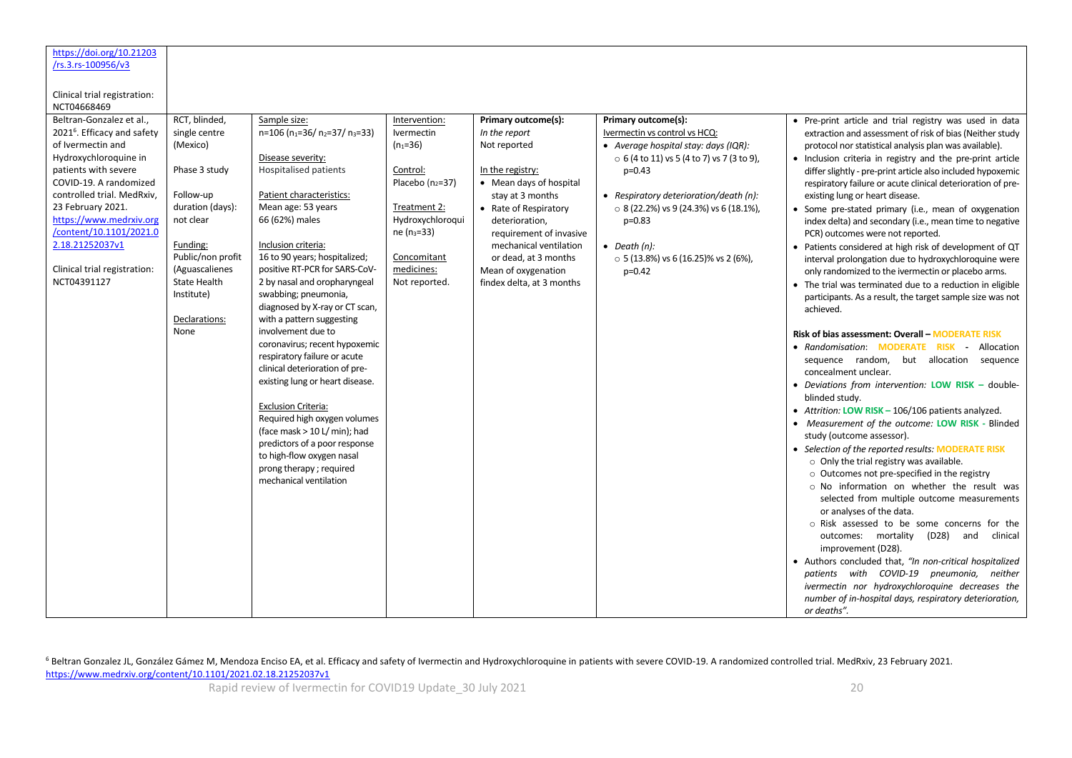| https://doi.org/10.21203                |                     |                                                            |                    |                           |                                                  |                                                             |
|-----------------------------------------|---------------------|------------------------------------------------------------|--------------------|---------------------------|--------------------------------------------------|-------------------------------------------------------------|
| /rs.3.rs-100956/v3                      |                     |                                                            |                    |                           |                                                  |                                                             |
|                                         |                     |                                                            |                    |                           |                                                  |                                                             |
| Clinical trial registration:            |                     |                                                            |                    |                           |                                                  |                                                             |
| NCT04668469                             |                     |                                                            |                    |                           |                                                  |                                                             |
| Beltran-Gonzalez et al.,                | RCT, blinded,       | Sample size:                                               | Intervention:      | Primary outcome(s):       | <b>Primary outcome(s):</b>                       | • Pre-print article and trial registry was used in data     |
| 2021 <sup>6</sup> . Efficacy and safety | single centre       | $n=106$ ( $n_1=36$ / $n_2=37$ / $n_3=33$ )                 | Ivermectin         | In the report             | Ivermectin vs control vs HCQ:                    | extraction and assessment of risk of bias (Neither study    |
| of Ivermectin and                       | (Mexico)            |                                                            | $(n_1=36)$         | Not reported              | • Average hospital stay: days (IQR):             | protocol nor statistical analysis plan was available).      |
| Hydroxychloroquine in                   |                     | Disease severity:                                          |                    |                           | $\circ$ 6 (4 to 11) vs 5 (4 to 7) vs 7 (3 to 9), | • Inclusion criteria in registry and the pre-print article  |
| patients with severe                    | Phase 3 study       | <b>Hospitalised patients</b>                               | Control:           | In the registry:          | $p=0.43$                                         | differ slightly - pre-print article also included hypoxemic |
| COVID-19. A randomized                  |                     |                                                            | Placebo $(n_2=37)$ | • Mean days of hospital   |                                                  | respiratory failure or acute clinical deterioration of pre- |
| controlled trial. MedRxiv,              | Follow-up           | Patient characteristics:                                   |                    | stay at 3 months          | • Respiratory deterioration/death (n):           | existing lung or heart disease.                             |
| 23 February 2021.                       | duration (days):    | Mean age: 53 years                                         | Treatment 2:       | • Rate of Respiratory     | $\circ$ 8 (22.2%) vs 9 (24.3%) vs 6 (18.1%),     | • Some pre-stated primary (i.e., mean of oxygenation        |
| https://www.medrxiv.org                 | not clear           | 66 (62%) males                                             | Hydroxychloroqui   | deterioration,            | $p=0.83$                                         | index delta) and secondary (i.e., mean time to negative     |
| /content/10.1101/2021.0                 |                     |                                                            | $ne (n_3 = 33)$    | requirement of invasive   |                                                  | PCR) outcomes were not reported.                            |
| 2.18.21252037v1                         | Funding:            | Inclusion criteria:                                        |                    | mechanical ventilation    | $\bullet$ Death (n):                             | • Patients considered at high risk of development of QT     |
|                                         | Public/non profit   | 16 to 90 years; hospitalized;                              | Concomitant        | or dead, at 3 months      | $\circ$ 5 (13.8%) vs 6 (16.25)% vs 2 (6%),       | interval prolongation due to hydroxychloroquine were        |
| Clinical trial registration:            | (Aguascalienes      | positive RT-PCR for SARS-CoV-                              | medicines:         | Mean of oxygenation       | $p=0.42$                                         | only randomized to the ivermectin or placebo arms.          |
| NCT04391127                             | <b>State Health</b> | 2 by nasal and oropharyngeal                               | Not reported.      | findex delta, at 3 months |                                                  | • The trial was terminated due to a reduction in eligible   |
|                                         | Institute)          | swabbing; pneumonia,                                       |                    |                           |                                                  | participants. As a result, the target sample size was not   |
|                                         |                     | diagnosed by X-ray or CT scan,                             |                    |                           |                                                  | achieved.                                                   |
|                                         | Declarations:       | with a pattern suggesting                                  |                    |                           |                                                  |                                                             |
|                                         | None                | involvement due to                                         |                    |                           |                                                  | Risk of bias assessment: Overall - MODERATE RISK            |
|                                         |                     | coronavirus; recent hypoxemic                              |                    |                           |                                                  | • Randomisation: MODERATE RISK - Allocation                 |
|                                         |                     | respiratory failure or acute                               |                    |                           |                                                  | sequence random, but allocation sequence                    |
|                                         |                     | clinical deterioration of pre-                             |                    |                           |                                                  | concealment unclear.                                        |
|                                         |                     | existing lung or heart disease.                            |                    |                           |                                                  | • Deviations from intervention: LOW RISK - double-          |
|                                         |                     |                                                            |                    |                           |                                                  | blinded study.                                              |
|                                         |                     | <b>Exclusion Criteria:</b><br>Required high oxygen volumes |                    |                           |                                                  | • Attrition: LOW RISK - 106/106 patients analyzed.          |
|                                         |                     | (face mask > 10 L/ min); had                               |                    |                           |                                                  | • Measurement of the outcome: LOW RISK - Blinded            |
|                                         |                     | predictors of a poor response                              |                    |                           |                                                  | study (outcome assessor).                                   |
|                                         |                     | to high-flow oxygen nasal                                  |                    |                           |                                                  | • Selection of the reported results: MODERATE RISK          |
|                                         |                     | prong therapy; required                                    |                    |                           |                                                  | o Only the trial registry was available.                    |
|                                         |                     | mechanical ventilation                                     |                    |                           |                                                  | $\circ$ Outcomes not pre-specified in the registry          |
|                                         |                     |                                                            |                    |                           |                                                  | o No information on whether the result was                  |
|                                         |                     |                                                            |                    |                           |                                                  | selected from multiple outcome measurements                 |
|                                         |                     |                                                            |                    |                           |                                                  | or analyses of the data.                                    |
|                                         |                     |                                                            |                    |                           |                                                  | o Risk assessed to be some concerns for the                 |
|                                         |                     |                                                            |                    |                           |                                                  | outcomes: mortality (D28) and<br>clinical                   |
|                                         |                     |                                                            |                    |                           |                                                  | improvement (D28).                                          |
|                                         |                     |                                                            |                    |                           |                                                  | • Authors concluded that, "In non-critical hospitalized     |
|                                         |                     |                                                            |                    |                           |                                                  | patients with COVID-19 pneumonia, neither                   |
|                                         |                     |                                                            |                    |                           |                                                  | ivermectin nor hydroxychloroquine decreases the             |
|                                         |                     |                                                            |                    |                           |                                                  | number of in-hospital days, respiratory deterioration,      |
|                                         |                     |                                                            |                    |                           |                                                  | or deaths".                                                 |

<sup>6</sup> Beltran Gonzalez JL, González Gámez M, Mendoza Enciso EA, et al. Efficacy and safety of Ivermectin and Hydroxychloroquine in patients with severe COVID-19. A randomized controlled trial. MedRxiv, 23 February 2021. <https://www.medrxiv.org/content/10.1101/2021.02.18.21252037v1>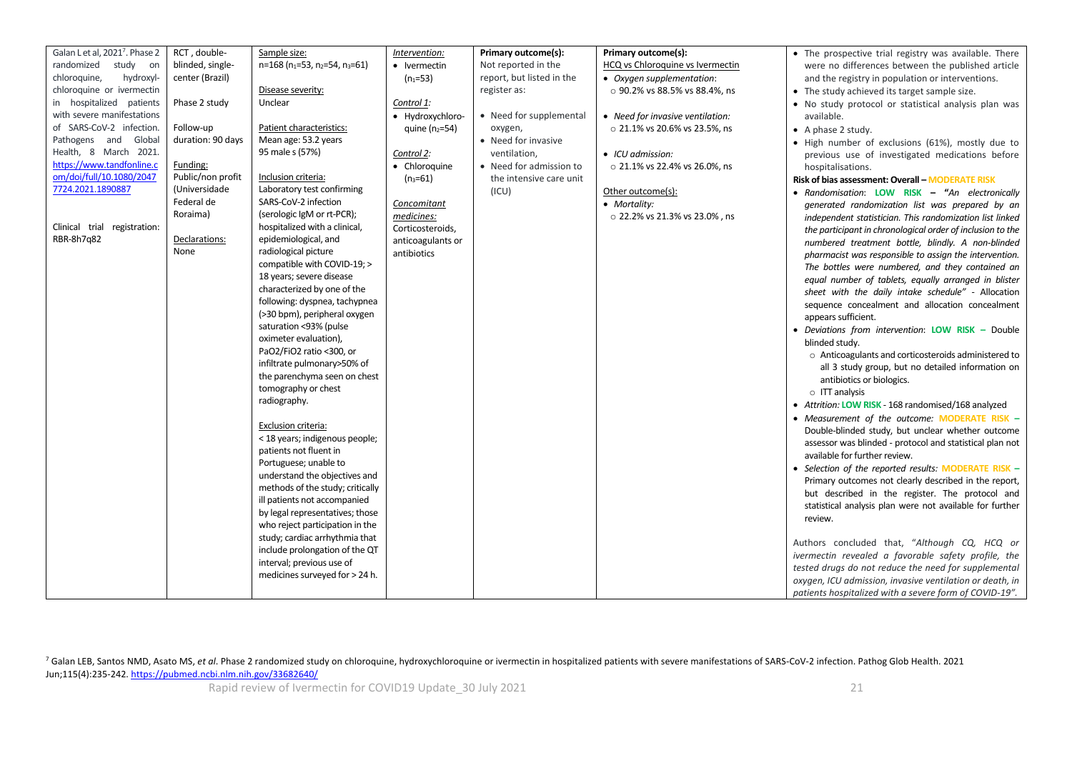| • The prospective trial registry was available. There      |
|------------------------------------------------------------|
|                                                            |
| were no differences between the published article          |
| and the registry in population or interventions.           |
|                                                            |
| . No study protocol or statistical analysis plan was       |
|                                                            |
|                                                            |
| · High number of exclusions (61%), mostly due to           |
| previous use of investigated medications before            |
|                                                            |
| Risk of bias assessment: Overall - MODERATE RISK           |
| • Randomisation: LOW RISK - "An electronically             |
| generated randomization list was prepared by an            |
| independent statistician. This randomization list linked   |
| the participant in chronological order of inclusion to the |
| numbered treatment bottle, blindly. A non-blinded          |
| pharmacist was responsible to assign the intervention.     |
| The bottles were numbered, and they contained an           |
| equal number of tablets, equally arranged in blister       |
| sheet with the daily intake schedule" - Allocation         |
| sequence concealment and allocation concealment            |
|                                                            |
| • Deviations from intervention: LOW RISK - Double          |
|                                                            |
| o Anticoagulants and corticosteroids administered to       |
| all 3 study group, but no detailed information on          |
|                                                            |
|                                                            |
| • Attrition: LOW RISK - 168 randomised/168 analyzed        |
| • Measurement of the outcome: MODERATE RISK -              |
| Double-blinded study, but unclear whether outcome          |
| assessor was blinded - protocol and statistical plan not   |
|                                                            |
| • Selection of the reported results: MODERATE RISK -       |
| Primary outcomes not clearly described in the report,      |
| but described in the register. The protocol and            |
| statistical analysis plan were not available for further   |
|                                                            |
|                                                            |
| Authors concluded that, "Although CQ, HCQ or               |
| ivermectin revealed a favorable safety profile, the        |
| tested drugs do not reduce the need for supplemental       |
| oxygen, ICU admission, invasive ventilation or death, in   |
| patients hospitalized with a severe form of COVID-19".     |
|                                                            |

<sup>7</sup> Galan LEB, Santos NMD, Asato MS, *et al*. Phase 2 randomized study on chloroquine, hydroxychloroquine or ivermectin in hospitalized patients with severe manifestations of SARS-CoV-2 infection. Pathog Glob Health. 2021 Jun;115(4):235-242[. https://pubmed.ncbi.nlm.nih.gov/33682640/](https://pubmed.ncbi.nlm.nih.gov/33682640/)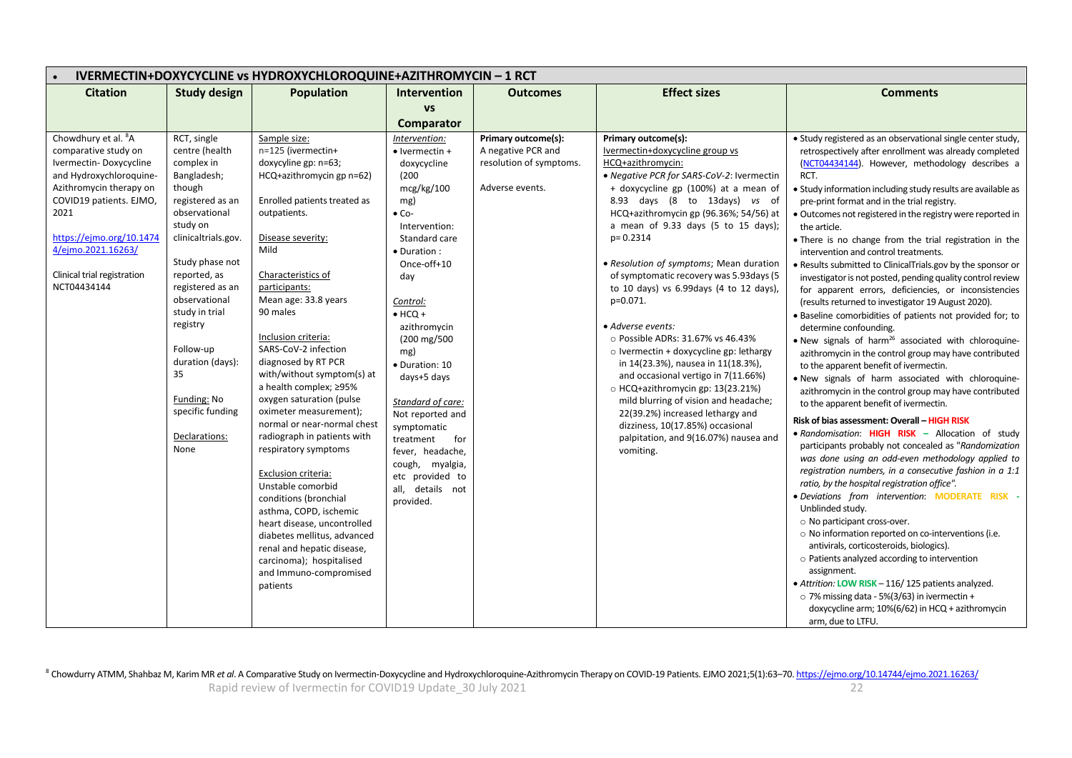| IVERMECTIN+DOXYCYCLINE vs HYDROXYCHLOROQUINE+AZITHROMYCIN - 1 RCT                                                                                                                                                                                                          |                                                                                                                                                                                                                                                                                                                                                       |                                                                                                                                                                                                                                                                                                                                                                                                                                                                                                                                                  |                                                                                                                                                                                                                                                                                                                                                                                                                  |                                                                                         |                                                                                                                                                                                                                                                                                                                                                                                                                                                                                                                                                                                                                                                                                                                                                                                                                                                      |                                                                                                                                                                                                                                                                                                                                                                                                                                                                                                                                                                                                                                                                                                                                                                                                                                                                                                                                                                                                                                                                                                                                                                                                                                                                                                                                                                                                                                    |  |
|----------------------------------------------------------------------------------------------------------------------------------------------------------------------------------------------------------------------------------------------------------------------------|-------------------------------------------------------------------------------------------------------------------------------------------------------------------------------------------------------------------------------------------------------------------------------------------------------------------------------------------------------|--------------------------------------------------------------------------------------------------------------------------------------------------------------------------------------------------------------------------------------------------------------------------------------------------------------------------------------------------------------------------------------------------------------------------------------------------------------------------------------------------------------------------------------------------|------------------------------------------------------------------------------------------------------------------------------------------------------------------------------------------------------------------------------------------------------------------------------------------------------------------------------------------------------------------------------------------------------------------|-----------------------------------------------------------------------------------------|------------------------------------------------------------------------------------------------------------------------------------------------------------------------------------------------------------------------------------------------------------------------------------------------------------------------------------------------------------------------------------------------------------------------------------------------------------------------------------------------------------------------------------------------------------------------------------------------------------------------------------------------------------------------------------------------------------------------------------------------------------------------------------------------------------------------------------------------------|------------------------------------------------------------------------------------------------------------------------------------------------------------------------------------------------------------------------------------------------------------------------------------------------------------------------------------------------------------------------------------------------------------------------------------------------------------------------------------------------------------------------------------------------------------------------------------------------------------------------------------------------------------------------------------------------------------------------------------------------------------------------------------------------------------------------------------------------------------------------------------------------------------------------------------------------------------------------------------------------------------------------------------------------------------------------------------------------------------------------------------------------------------------------------------------------------------------------------------------------------------------------------------------------------------------------------------------------------------------------------------------------------------------------------------|--|
| <b>Citation</b>                                                                                                                                                                                                                                                            | <b>Study design</b>                                                                                                                                                                                                                                                                                                                                   | Population                                                                                                                                                                                                                                                                                                                                                                                                                                                                                                                                       | Intervention                                                                                                                                                                                                                                                                                                                                                                                                     | <b>Outcomes</b>                                                                         | <b>Effect sizes</b>                                                                                                                                                                                                                                                                                                                                                                                                                                                                                                                                                                                                                                                                                                                                                                                                                                  | <b>Comments</b>                                                                                                                                                                                                                                                                                                                                                                                                                                                                                                                                                                                                                                                                                                                                                                                                                                                                                                                                                                                                                                                                                                                                                                                                                                                                                                                                                                                                                    |  |
|                                                                                                                                                                                                                                                                            |                                                                                                                                                                                                                                                                                                                                                       |                                                                                                                                                                                                                                                                                                                                                                                                                                                                                                                                                  | <b>VS</b>                                                                                                                                                                                                                                                                                                                                                                                                        |                                                                                         |                                                                                                                                                                                                                                                                                                                                                                                                                                                                                                                                                                                                                                                                                                                                                                                                                                                      |                                                                                                                                                                                                                                                                                                                                                                                                                                                                                                                                                                                                                                                                                                                                                                                                                                                                                                                                                                                                                                                                                                                                                                                                                                                                                                                                                                                                                                    |  |
|                                                                                                                                                                                                                                                                            |                                                                                                                                                                                                                                                                                                                                                       |                                                                                                                                                                                                                                                                                                                                                                                                                                                                                                                                                  | Comparator                                                                                                                                                                                                                                                                                                                                                                                                       |                                                                                         |                                                                                                                                                                                                                                                                                                                                                                                                                                                                                                                                                                                                                                                                                                                                                                                                                                                      |                                                                                                                                                                                                                                                                                                                                                                                                                                                                                                                                                                                                                                                                                                                                                                                                                                                                                                                                                                                                                                                                                                                                                                                                                                                                                                                                                                                                                                    |  |
| Chowdhury et al. <sup>8</sup> A<br>comparative study on<br>Ivermectin-Doxycycline<br>and Hydroxychloroquine-<br>Azithromycin therapy on<br>COVID19 patients. EJMO,<br>2021<br>https://ejmo.org/10.1474<br>4/ejmo.2021.16263/<br>Clinical trial registration<br>NCT04434144 | RCT, single<br>centre (health<br>complex in<br>Bangladesh;<br>though<br>registered as an<br>observational<br>study on<br>clinicaltrials.gov.<br>Study phase not<br>reported, as<br>registered as an<br>observational<br>study in trial<br>registry<br>Follow-up<br>duration (days):<br>35<br>Funding: No<br>specific funding<br>Declarations:<br>None | Sample size:<br>n=125 (ivermectin+<br>doxycyline gp: n=63;<br>HCQ+azithromycin gp n=62)<br>Enrolled patients treated as<br>outpatients.<br>Disease severity:<br>Mild<br>Characteristics of<br>participants:<br>Mean age: 33.8 years<br>90 males<br>Inclusion criteria:<br>SARS-CoV-2 infection<br>diagnosed by RT PCR<br>with/without symptom(s) at<br>a health complex; ≥95%<br>oxygen saturation (pulse<br>oximeter measurement);<br>normal or near-normal chest<br>radiograph in patients with<br>respiratory symptoms<br>Exclusion criteria: | Intervention:<br>• Ivermectin +<br>doxycycline<br>(200)<br>mcg/kg/100<br>mg)<br>$\bullet$ Co-<br>Intervention:<br>Standard care<br>· Duration:<br>Once-off+10<br>day<br>Control:<br>$\bullet$ HCQ +<br>azithromycin<br>(200 mg/500<br>mg)<br>· Duration: 10<br>days+5 days<br>Standard of care:<br>Not reported and<br>symptomatic<br>treatment<br>for<br>fever, headache,<br>cough, myalgia,<br>etc provided to | Primary outcome(s):<br>A negative PCR and<br>resolution of symptoms.<br>Adverse events. | Primary outcome(s):<br>Ivermectin+doxycycline group vs<br>HCQ+azithromycin:<br>• Negative PCR for SARS-CoV-2: Ivermectin<br>+ doxycycline gp (100%) at a mean of<br>8.93 days (8 to 13days) vs of<br>HCQ+azithromycin gp (96.36%; 54/56) at<br>a mean of 9.33 days (5 to 15 days);<br>$p = 0.2314$<br>· Resolution of symptoms; Mean duration<br>of symptomatic recovery was 5.93 days (5<br>to 10 days) vs 6.99days (4 to 12 days),<br>p=0.071.<br>• Adverse events:<br>$\circ$ Possible ADRs: 31.67% vs 46.43%<br>o Ivermectin + doxycycline gp: lethargy<br>in 14(23.3%), nausea in 11(18.3%),<br>and occasional vertigo in 7(11.66%)<br>O HCQ+azithromycin gp: 13(23.21%)<br>mild blurring of vision and headache;<br>22(39.2%) increased lethargy and<br>dizziness, 10(17.85%) occasional<br>palpitation, and 9(16.07%) nausea and<br>vomiting. | • Study registered as an observational single center study,<br>retrospectively after enrollment was already completed<br>(NCT04434144). However, methodology describes a<br>RCT.<br>• Study information including study results are available as<br>pre-print format and in the trial registry.<br>· Outcomes not registered in the registry were reported in<br>the article.<br>• There is no change from the trial registration in the<br>intervention and control treatments.<br>• Results submitted to ClinicalTrials.gov by the sponsor or<br>investigator is not posted, pending quality control review<br>for apparent errors, deficiencies, or inconsistencies<br>(results returned to investigator 19 August 2020).<br>. Baseline comorbidities of patients not provided for; to<br>determine confounding.<br>. New signals of harm <sup>26</sup> associated with chloroquine-<br>azithromycin in the control group may have contributed<br>to the apparent benefit of ivermectin.<br>. New signals of harm associated with chloroquine-<br>azithromycin in the control group may have contributed<br>to the apparent benefit of ivermectin.<br>Risk of bias assessment: Overall - HIGH RISK<br>. Randomisation: HIGH RISK - Allocation of study<br>participants probably not concealed as "Randomization<br>was done using an odd-even methodology applied to<br>registration numbers, in a consecutive fashion in a 1:1 |  |
|                                                                                                                                                                                                                                                                            |                                                                                                                                                                                                                                                                                                                                                       | Unstable comorbid<br>conditions (bronchial<br>asthma, COPD, ischemic                                                                                                                                                                                                                                                                                                                                                                                                                                                                             | all, details not<br>provided.                                                                                                                                                                                                                                                                                                                                                                                    |                                                                                         |                                                                                                                                                                                                                                                                                                                                                                                                                                                                                                                                                                                                                                                                                                                                                                                                                                                      | ratio, by the hospital registration office".<br>· Deviations from intervention: MODERATE RISK -<br>Unblinded study.                                                                                                                                                                                                                                                                                                                                                                                                                                                                                                                                                                                                                                                                                                                                                                                                                                                                                                                                                                                                                                                                                                                                                                                                                                                                                                                |  |
|                                                                                                                                                                                                                                                                            |                                                                                                                                                                                                                                                                                                                                                       | heart disease, uncontrolled<br>diabetes mellitus, advanced<br>renal and hepatic disease,<br>carcinoma); hospitalised<br>and Immuno-compromised<br>patients                                                                                                                                                                                                                                                                                                                                                                                       |                                                                                                                                                                                                                                                                                                                                                                                                                  |                                                                                         |                                                                                                                                                                                                                                                                                                                                                                                                                                                                                                                                                                                                                                                                                                                                                                                                                                                      | o No participant cross-over.<br>o No information reported on co-interventions (i.e.<br>antivirals, corticosteroids, biologics).<br>o Patients analyzed according to intervention<br>assignment.<br>• Attrition: LOW RISK - 116/125 patients analyzed.<br>o 7% missing data - 5%(3/63) in ivermectin +<br>doxycycline arm; 10%(6/62) in HCQ + azithromycin<br>arm, due to LTFU.                                                                                                                                                                                                                                                                                                                                                                                                                                                                                                                                                                                                                                                                                                                                                                                                                                                                                                                                                                                                                                                     |  |

Rapid review of Ivermectin for COVID19 Update\_30 July 2021 22 <sup>8</sup> Chowdurry ATMM, Shahbaz M, Karim MR et al. A Comparative Study on Ivermectin-Doxycycline and Hydroxychloroquine-Azithromycin Therapy on COVID-19 Patients. EJMO 2021;5(1):63-70. https://ejmo.org/10.14744/ejmo.2021.16263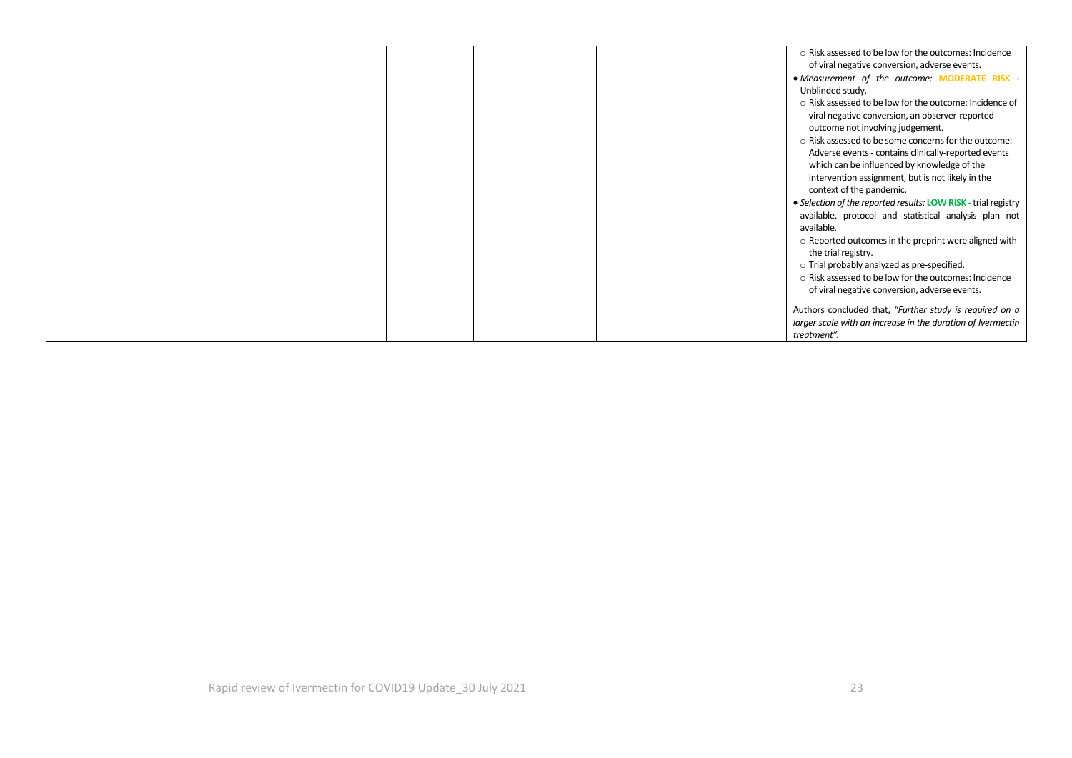|  |  |  | o Risk assessed to be low for the outcomes: Incidence          |
|--|--|--|----------------------------------------------------------------|
|  |  |  | of viral negative conversion, adverse events.                  |
|  |  |  | • Measurement of the outcome: MODERATE RISK -                  |
|  |  |  | Unblinded study.                                               |
|  |  |  | o Risk assessed to be low for the outcome: Incidence of        |
|  |  |  | viral negative conversion, an observer-reported                |
|  |  |  | outcome not involving judgement.                               |
|  |  |  | o Risk assessed to be some concerns for the outcome:           |
|  |  |  | Adverse events - contains clinically-reported events           |
|  |  |  | which can be influenced by knowledge of the                    |
|  |  |  | intervention assignment, but is not likely in the              |
|  |  |  | context of the pandemic.                                       |
|  |  |  | • Selection of the reported results: LOW RISK - trial registry |
|  |  |  | available, protocol and statistical analysis plan not          |
|  |  |  | available.                                                     |
|  |  |  | $\circ$ Reported outcomes in the preprint were aligned with    |
|  |  |  | the trial registry.                                            |
|  |  |  | o Trial probably analyzed as pre-specified.                    |
|  |  |  | o Risk assessed to be low for the outcomes: Incidence          |
|  |  |  | of viral negative conversion, adverse events.                  |
|  |  |  | Authors concluded that, "Further study is required on a        |
|  |  |  | larger scale with an increase in the duration of Ivermectin    |
|  |  |  | treatment".                                                    |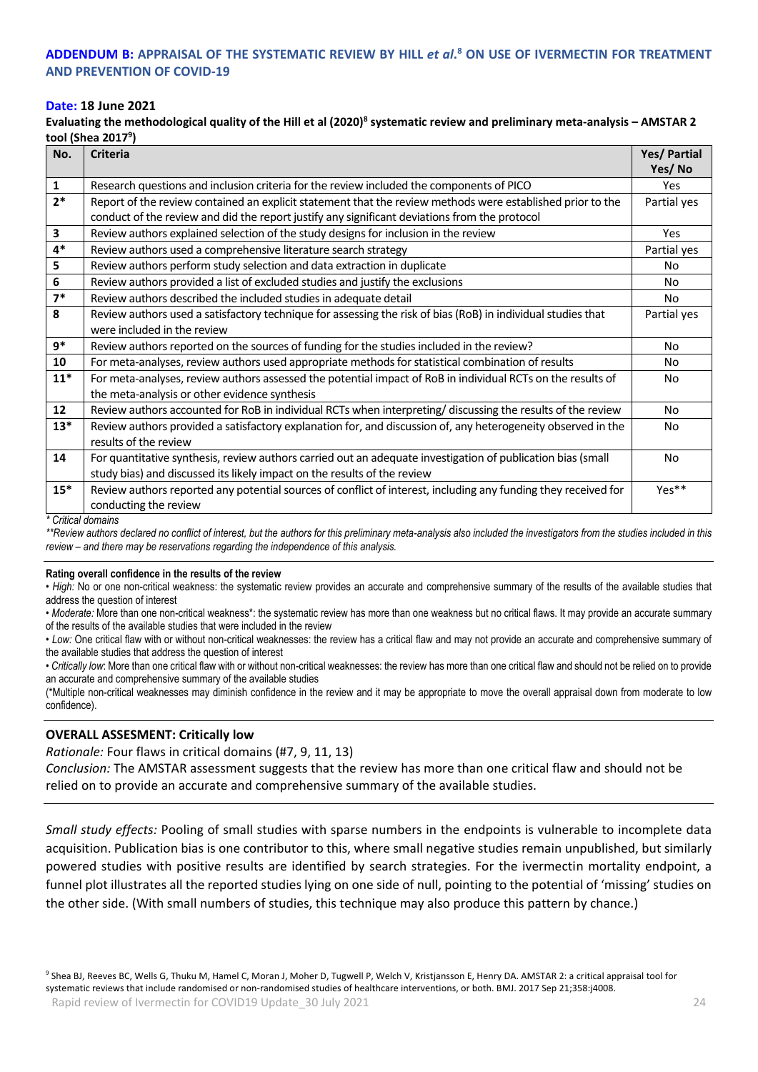### **ADDENDUM B: APPRAISAL OF THE SYSTEMATIC REVIEW BY HILL** *et al***. <sup>8</sup> ON USE OF IVERMECTIN FOR TREATMENT AND PREVENTION OF COVID-19**

### **Date: 18 June 2021**

**Evaluating the methodological quality of the Hill et al (2020)<sup>8</sup> systematic review and preliminary meta-analysis – AMSTAR 2 tool (Shea 2017<sup>9</sup> )**

| No.   | <b>Criteria</b>                                                                                                | Yes/ Partial |
|-------|----------------------------------------------------------------------------------------------------------------|--------------|
|       |                                                                                                                | Yes/No       |
| 1     | Research questions and inclusion criteria for the review included the components of PICO                       | <b>Yes</b>   |
| $2*$  | Report of the review contained an explicit statement that the review methods were established prior to the     | Partial yes  |
|       | conduct of the review and did the report justify any significant deviations from the protocol                  |              |
| 3     | Review authors explained selection of the study designs for inclusion in the review                            | Yes          |
| $4*$  | Review authors used a comprehensive literature search strategy                                                 | Partial yes  |
| 5     | Review authors perform study selection and data extraction in duplicate                                        | No           |
| 6     | Review authors provided a list of excluded studies and justify the exclusions                                  | No           |
| $7*$  | Review authors described the included studies in adequate detail                                               | No           |
| 8     | Review authors used a satisfactory technique for assessing the risk of bias (RoB) in individual studies that   | Partial yes  |
|       | were included in the review                                                                                    |              |
| 9*    | Review authors reported on the sources of funding for the studies included in the review?                      | No           |
| 10    | For meta-analyses, review authors used appropriate methods for statistical combination of results              | No           |
| $11*$ | For meta-analyses, review authors assessed the potential impact of RoB in individual RCTs on the results of    | No           |
|       | the meta-analysis or other evidence synthesis                                                                  |              |
| 12    | Review authors accounted for RoB in individual RCTs when interpreting/ discussing the results of the review    | No           |
| $13*$ | Review authors provided a satisfactory explanation for, and discussion of, any heterogeneity observed in the   | No           |
|       | results of the review                                                                                          |              |
| 14    | For quantitative synthesis, review authors carried out an adequate investigation of publication bias (small    | No           |
|       | study bias) and discussed its likely impact on the results of the review                                       |              |
| $15*$ | Review authors reported any potential sources of conflict of interest, including any funding they received for | Yes**        |
|       | conducting the review                                                                                          |              |

*\* Critical domains*

*\*\*Review authors declared no conflict of interest, but the authors for this preliminary meta-analysis also included the investigators from the studies included in this review – and there may be reservations regarding the independence of this analysis.*

#### **Rating overall confidence in the results of the review**

• *High:* No or one non-critical weakness: the systematic review provides an accurate and comprehensive summary of the results of the available studies that address the question of interest

*• Moderate:* More than one non-critical weakness\*: the systematic review has more than one weakness but no critical flaws. It may provide an accurate summary of the results of the available studies that were included in the review

*• Low:* One critical flaw with or without non-critical weaknesses: the review has a critical flaw and may not provide an accurate and comprehensive summary of the available studies that address the question of interest

• *Critically low*: More than one critical flaw with or without non-critical weaknesses: the review has more than one critical flaw and should not be relied on to provide an accurate and comprehensive summary of the available studies

(\*Multiple non-critical weaknesses may diminish confidence in the review and it may be appropriate to move the overall appraisal down from moderate to low confidence).

### **OVERALL ASSESMENT: Critically low**

*Rationale:* Four flaws in critical domains (#7, 9, 11, 13)

*Conclusion:* The AMSTAR assessment suggests that the review has more than one critical flaw and should not be relied on to provide an accurate and comprehensive summary of the available studies.

*Small study effects:* Pooling of small studies with sparse numbers in the endpoints is vulnerable to incomplete data acquisition. Publication bias is one contributor to this, where small negative studies remain unpublished, but similarly powered studies with positive results are identified by search strategies. For the ivermectin mortality endpoint, a funnel plot illustrates all the reported studies lying on one side of null, pointing to the potential of 'missing' studies on the other side. (With small numbers of studies, this technique may also produce this pattern by chance.)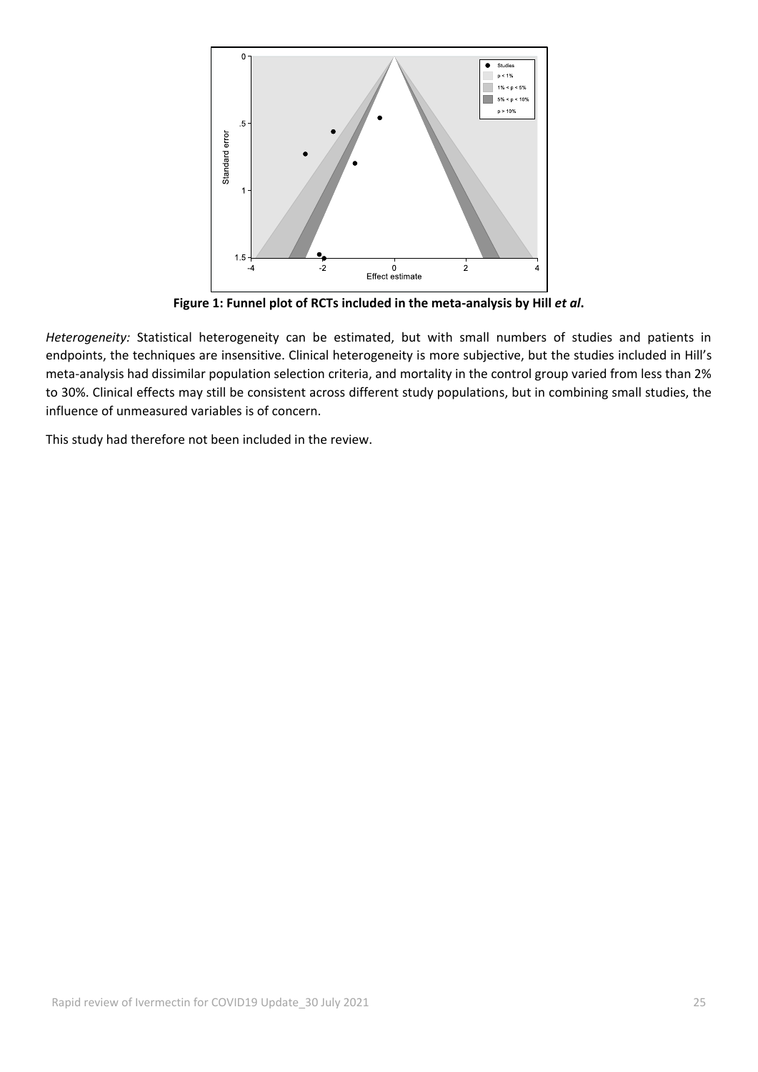

Figure 1: Funnel plot of RCTs included in the meta-analysis by Hill *et al*.

*Heterogeneity:* Statistical heterogeneity can be estimated, but with small numbers of studies and patients in endpoints, the techniques are insensitive. Clinical heterogeneity is more subjective, but the studies included in Hill's meta-analysis had dissimilar population selection criteria, and mortality in the control group varied from less than 2% to 30%. Clinical effects may still be consistent across different study populations, but in combining small studies, the influence of unmeasured variables is of concern.

This study had therefore not been included in the review.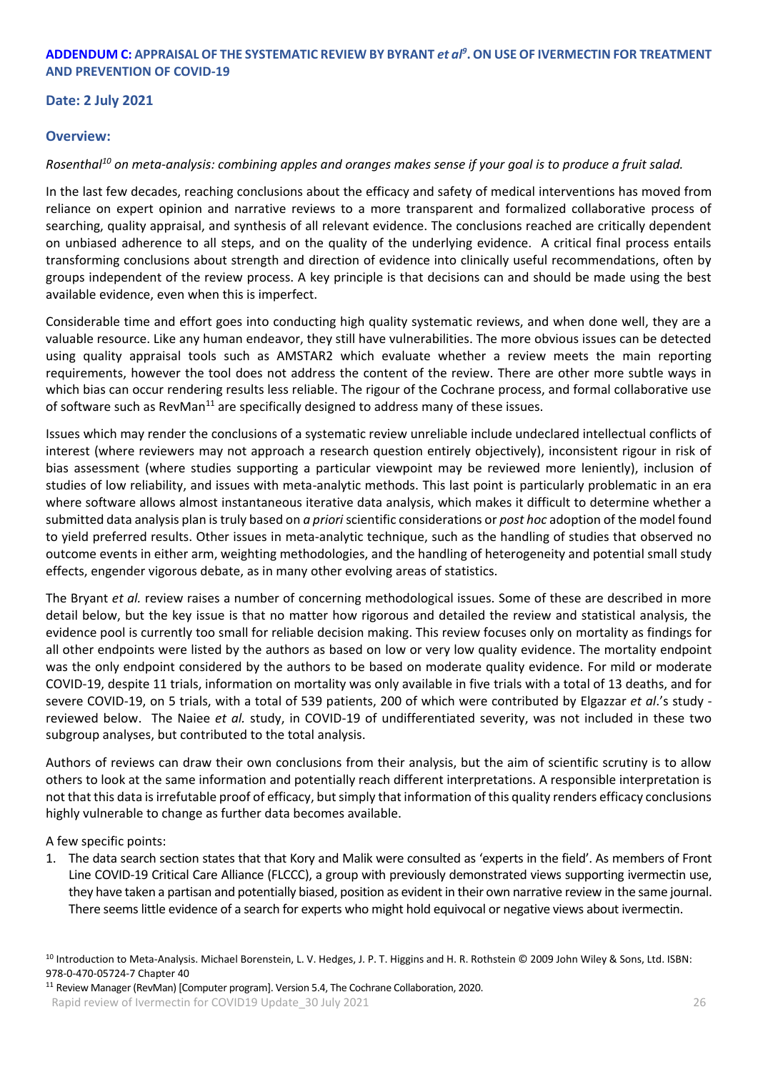### **ADDENDUM C: APPRAISAL OF THE SYSTEMATIC REVIEW BY BYRANT** *et al<sup>9</sup>* **. ON USE OF IVERMECTIN FOR TREATMENT AND PREVENTION OF COVID-19**

### **Date: 2 July 2021**

### **Overview:**

### *Rosenthal<sup>10</sup> on meta-analysis: combining apples and oranges makes sense if your goal is to produce a fruit salad.*

In the last few decades, reaching conclusions about the efficacy and safety of medical interventions has moved from reliance on expert opinion and narrative reviews to a more transparent and formalized collaborative process of searching, quality appraisal, and synthesis of all relevant evidence. The conclusions reached are critically dependent on unbiased adherence to all steps, and on the quality of the underlying evidence. A critical final process entails transforming conclusions about strength and direction of evidence into clinically useful recommendations, often by groups independent of the review process. A key principle is that decisions can and should be made using the best available evidence, even when this is imperfect.

Considerable time and effort goes into conducting high quality systematic reviews, and when done well, they are a valuable resource. Like any human endeavor, they still have vulnerabilities. The more obvious issues can be detected using quality appraisal tools such as AMSTAR2 which evaluate whether a review meets the main reporting requirements, however the tool does not address the content of the review. There are other more subtle ways in which bias can occur rendering results less reliable. The rigour of the Cochrane process, and formal collaborative use of software such as  $RevMan<sup>11</sup>$  are specifically designed to address many of these issues.

Issues which may render the conclusions of a systematic review unreliable include undeclared intellectual conflicts of interest (where reviewers may not approach a research question entirely objectively), inconsistent rigour in risk of bias assessment (where studies supporting a particular viewpoint may be reviewed more leniently), inclusion of studies of low reliability, and issues with meta-analytic methods. This last point is particularly problematic in an era where software allows almost instantaneous iterative data analysis, which makes it difficult to determine whether a submitted data analysis plan is truly based on *a priori*scientific considerations or *post hoc* adoption of the model found to yield preferred results. Other issues in meta-analytic technique, such as the handling of studies that observed no outcome events in either arm, weighting methodologies, and the handling of heterogeneity and potential small study effects, engender vigorous debate, as in many other evolving areas of statistics.

The Bryant *et al.* review raises a number of concerning methodological issues. Some of these are described in more detail below, but the key issue is that no matter how rigorous and detailed the review and statistical analysis, the evidence pool is currently too small for reliable decision making. This review focuses only on mortality as findings for all other endpoints were listed by the authors as based on low or very low quality evidence. The mortality endpoint was the only endpoint considered by the authors to be based on moderate quality evidence. For mild or moderate COVID-19, despite 11 trials, information on mortality was only available in five trials with a total of 13 deaths, and for severe COVID-19, on 5 trials, with a total of 539 patients, 200 of which were contributed by Elgazzar *et al*.'s study reviewed below. The Naiee *et al.* study, in COVID-19 of undifferentiated severity, was not included in these two subgroup analyses, but contributed to the total analysis.

Authors of reviews can draw their own conclusions from their analysis, but the aim of scientific scrutiny is to allow others to look at the same information and potentially reach different interpretations. A responsible interpretation is not that this data is irrefutable proof of efficacy, but simply that information of this quality renders efficacy conclusions highly vulnerable to change as further data becomes available.

A few specific points:

1. The data search section states that that Kory and Malik were consulted as 'experts in the field'. As members of Front Line COVID-19 Critical Care Alliance (FLCCC), a group with previously demonstrated views supporting ivermectin use, they have taken a partisan and potentially biased, position as evident in their own narrative review in the same journal. There seems little evidence of a search for experts who might hold equivocal or negative views about ivermectin.

<sup>11</sup> Review Manager (RevMan) [Computer program]. Version 5.4, The Cochrane Collaboration, 2020.

Rapid review of Ivermectin for COVID19 Update 30 July 2021 26 26

<sup>10</sup> Introduction to Meta-Analysis. Michael Borenstein, L. V. Hedges, J. P. T. Higgins and H. R. Rothstein © 2009 John Wiley & Sons, Ltd. ISBN: 978-0-470-05724-7 Chapter 40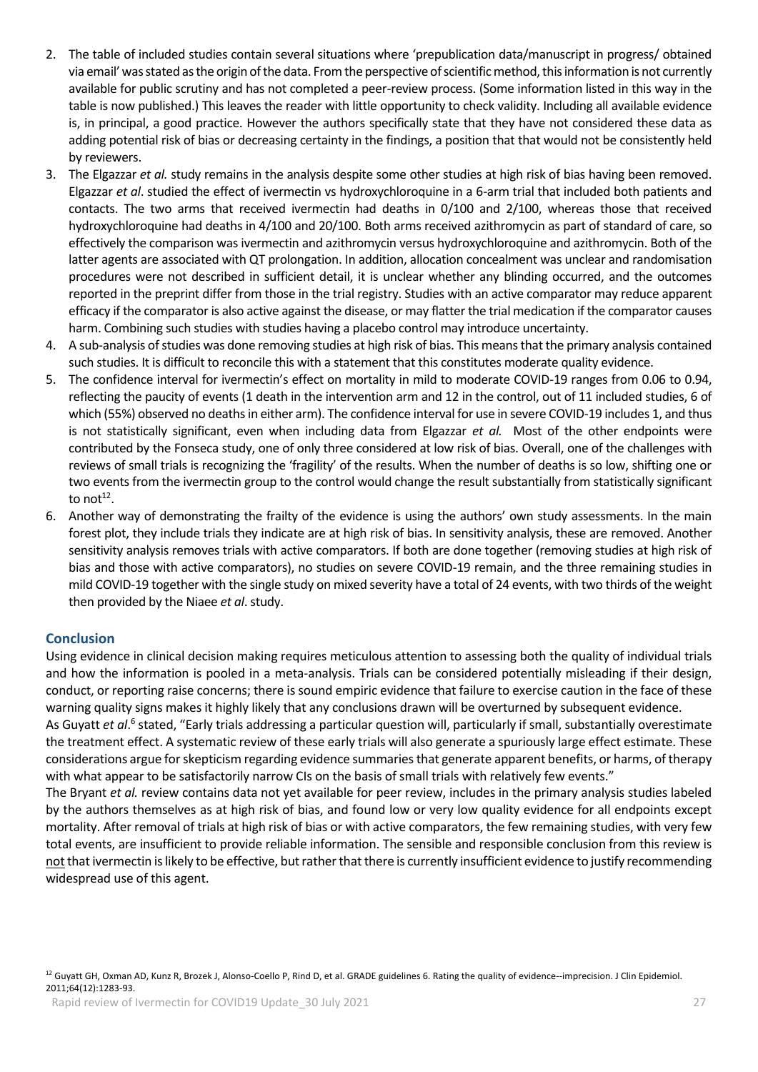- 2. The table of included studies contain several situations where 'prepublication data/manuscript in progress/ obtained via email' was stated as the origin of the data. From the perspective of scientific method, this information is not currently available for public scrutiny and has not completed a peer-review process. (Some information listed in this way in the table is now published.) This leaves the reader with little opportunity to check validity. Including all available evidence is, in principal, a good practice. However the authors specifically state that they have not considered these data as adding potential risk of bias or decreasing certainty in the findings, a position that that would not be consistently held by reviewers.
- 3. The Elgazzar *et al.* study remains in the analysis despite some other studies at high risk of bias having been removed. Elgazzar *et al*. studied the effect of ivermectin vs hydroxychloroquine in a 6-arm trial that included both patients and contacts. The two arms that received ivermectin had deaths in 0/100 and 2/100, whereas those that received hydroxychloroquine had deaths in 4/100 and 20/100. Both arms received azithromycin as part of standard of care, so effectively the comparison was ivermectin and azithromycin versus hydroxychloroquine and azithromycin. Both of the latter agents are associated with QT prolongation. In addition, allocation concealment was unclear and randomisation procedures were not described in sufficient detail, it is unclear whether any blinding occurred, and the outcomes reported in the preprint differ from those in the trial registry. Studies with an active comparator may reduce apparent efficacy if the comparator is also active against the disease, or may flatter the trial medication if the comparator causes harm. Combining such studies with studies having a placebo control may introduce uncertainty.
- 4. A sub-analysis of studies was done removing studies at high risk of bias. This means that the primary analysis contained such studies. It is difficult to reconcile this with a statement that this constitutes moderate quality evidence.
- 5. The confidence interval for ivermectin's effect on mortality in mild to moderate COVID-19 ranges from 0.06 to 0.94, reflecting the paucity of events (1 death in the intervention arm and 12 in the control, out of 11 included studies, 6 of which (55%) observed no deaths in either arm). The confidence interval for use in severe COVID-19 includes 1, and thus is not statistically significant, even when including data from Elgazzar *et al.* Most of the other endpoints were contributed by the Fonseca study, one of only three considered at low risk of bias. Overall, one of the challenges with reviews of small trials is recognizing the 'fragility' of the results. When the number of deaths is so low, shifting one or two events from the ivermectin group to the control would change the result substantially from statistically significant to not $12$ .
- 6. Another way of demonstrating the frailty of the evidence is using the authors' own study assessments. In the main forest plot, they include trials they indicate are at high risk of bias. In sensitivity analysis, these are removed. Another sensitivity analysis removes trials with active comparators. If both are done together (removing studies at high risk of bias and those with active comparators), no studies on severe COVID-19 remain, and the three remaining studies in mild COVID-19 together with the single study on mixed severity have a total of 24 events, with two thirds of the weight then provided by the Niaee *et al*. study.

### **Conclusion**

Using evidence in clinical decision making requires meticulous attention to assessing both the quality of individual trials and how the information is pooled in a meta-analysis. Trials can be considered potentially misleading if their design, conduct, or reporting raise concerns; there is sound empiric evidence that failure to exercise caution in the face of these warning quality signs makes it highly likely that any conclusions drawn will be overturned by subsequent evidence.

As Guyatt et al.<sup>6</sup> stated, "Early trials addressing a particular question will, particularly if small, substantially overestimate the treatment effect. A systematic review of these early trials will also generate a spuriously large effect estimate. These considerations argue for skepticism regarding evidence summaries that generate apparent benefits, or harms, of therapy with what appear to be satisfactorily narrow CIs on the basis of small trials with relatively few events."

The Bryant *et al.* review contains data not yet available for peer review, includes in the primary analysis studies labeled by the authors themselves as at high risk of bias, and found low or very low quality evidence for all endpoints except mortality. After removal of trials at high risk of bias or with active comparators, the few remaining studies, with very few total events, are insufficient to provide reliable information. The sensible and responsible conclusion from this review is notthat ivermectin is likely to be effective, but rather that there is currently insufficient evidence to justify recommending widespread use of this agent.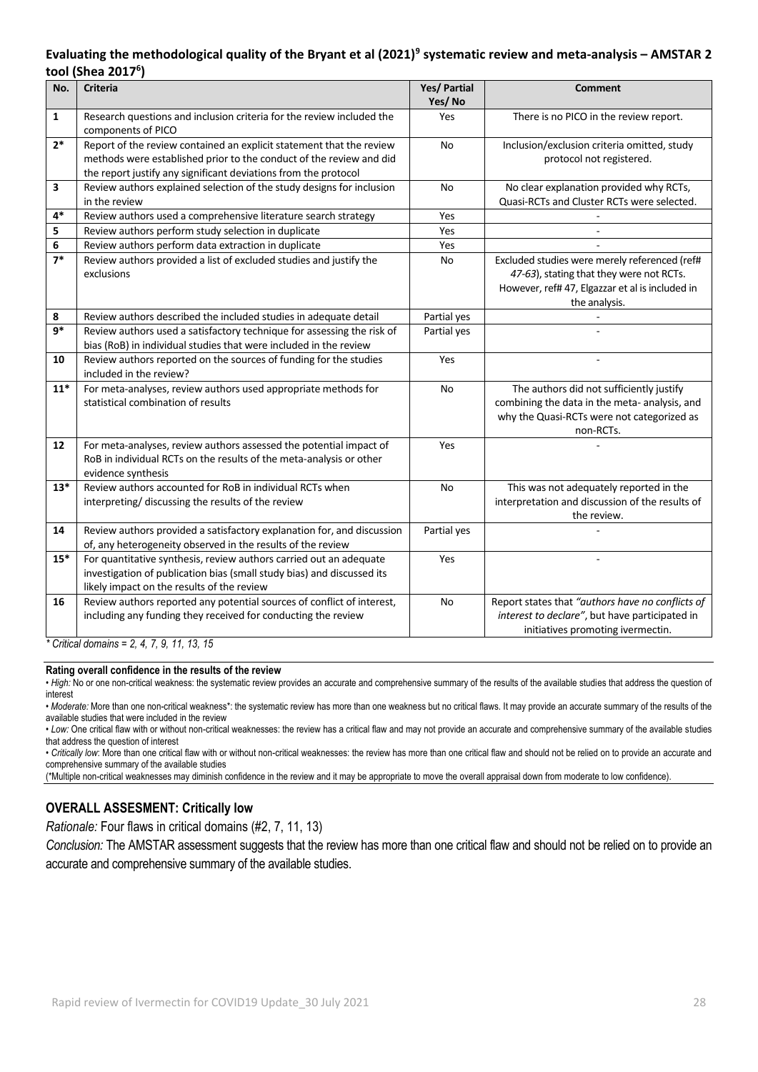## **Evaluating the methodological quality of the Bryant et al (2021)<sup>9</sup> systematic review and meta-analysis – AMSTAR 2 tool (Shea 2017<sup>6</sup> )**

| No.                                           | <b>Criteria</b>                                                                                                                                                                                                | Yes/ Partial<br>Yes/No | <b>Comment</b>                                                                                                                                                |
|-----------------------------------------------|----------------------------------------------------------------------------------------------------------------------------------------------------------------------------------------------------------------|------------------------|---------------------------------------------------------------------------------------------------------------------------------------------------------------|
| $\mathbf{1}$                                  | Research questions and inclusion criteria for the review included the<br>components of PICO                                                                                                                    | Yes                    | There is no PICO in the review report.                                                                                                                        |
| $2*$                                          | Report of the review contained an explicit statement that the review<br>methods were established prior to the conduct of the review and did<br>the report justify any significant deviations from the protocol | <b>No</b>              | Inclusion/exclusion criteria omitted, study<br>protocol not registered.                                                                                       |
| 3                                             | Review authors explained selection of the study designs for inclusion<br>in the review                                                                                                                         | No                     | No clear explanation provided why RCTs,<br>Quasi-RCTs and Cluster RCTs were selected.                                                                         |
| $4*$                                          | Review authors used a comprehensive literature search strategy                                                                                                                                                 | Yes                    |                                                                                                                                                               |
| 5                                             | Review authors perform study selection in duplicate                                                                                                                                                            | Yes                    |                                                                                                                                                               |
| 6                                             | Review authors perform data extraction in duplicate                                                                                                                                                            | Yes                    |                                                                                                                                                               |
| $7*$                                          | Review authors provided a list of excluded studies and justify the<br>exclusions                                                                                                                               | No                     | Excluded studies were merely referenced (ref#<br>47-63), stating that they were not RCTs.<br>However, ref# 47, Elgazzar et al is included in<br>the analysis. |
| 8                                             | Review authors described the included studies in adequate detail                                                                                                                                               | Partial yes            |                                                                                                                                                               |
| $9*$                                          | Review authors used a satisfactory technique for assessing the risk of<br>bias (RoB) in individual studies that were included in the review                                                                    | Partial yes            |                                                                                                                                                               |
| 10                                            | Review authors reported on the sources of funding for the studies<br>included in the review?                                                                                                                   | Yes                    |                                                                                                                                                               |
| $11*$                                         | For meta-analyses, review authors used appropriate methods for<br>statistical combination of results                                                                                                           | No                     | The authors did not sufficiently justify<br>combining the data in the meta- analysis, and<br>why the Quasi-RCTs were not categorized as<br>non-RCTs.          |
| 12                                            | For meta-analyses, review authors assessed the potential impact of<br>RoB in individual RCTs on the results of the meta-analysis or other<br>evidence synthesis                                                | Yes                    |                                                                                                                                                               |
| $13*$                                         | Review authors accounted for RoB in individual RCTs when<br>interpreting/ discussing the results of the review                                                                                                 | No                     | This was not adequately reported in the<br>interpretation and discussion of the results of<br>the review.                                                     |
| 14                                            | Review authors provided a satisfactory explanation for, and discussion<br>of, any heterogeneity observed in the results of the review                                                                          | Partial yes            |                                                                                                                                                               |
| $15*$                                         | For quantitative synthesis, review authors carried out an adequate<br>investigation of publication bias (small study bias) and discussed its<br>likely impact on the results of the review                     | Yes                    |                                                                                                                                                               |
| 16                                            | Review authors reported any potential sources of conflict of interest,<br>including any funding they received for conducting the review                                                                        | No                     | Report states that "authors have no conflicts of<br>interest to declare", but have participated in<br>initiatives promoting ivermectin.                       |
| * Critical domains = $2, 4, 7, 9, 11, 13, 15$ |                                                                                                                                                                                                                |                        |                                                                                                                                                               |

#### **Rating overall confidence in the results of the review**

• High: No or one non-critical weakness: the systematic review provides an accurate and comprehensive summary of the results of the available studies that address the question of interest

*• Moderate:* More than one non-critical weakness\*: the systematic review has more than one weakness but no critical flaws. It may provide an accurate summary of the results of the available studies that were included in the review

*• Low:* One critical flaw with or without non-critical weaknesses: the review has a critical flaw and may not provide an accurate and comprehensive summary of the available studies that address the question of interest

• *Critically low*: More than one critical flaw with or without non-critical weaknesses: the review has more than one critical flaw and should not be relied on to provide an accurate and comprehensive summary of the available studies

(\*Multiple non-critical weaknesses may diminish confidence in the review and it may be appropriate to move the overall appraisal down from moderate to low confidence).

### **OVERALL ASSESMENT: Critically low**

*Rationale:* Four flaws in critical domains (#2, 7, 11, 13)

*Conclusion:* The AMSTAR assessment suggests that the review has more than one critical flaw and should not be relied on to provide an accurate and comprehensive summary of the available studies.